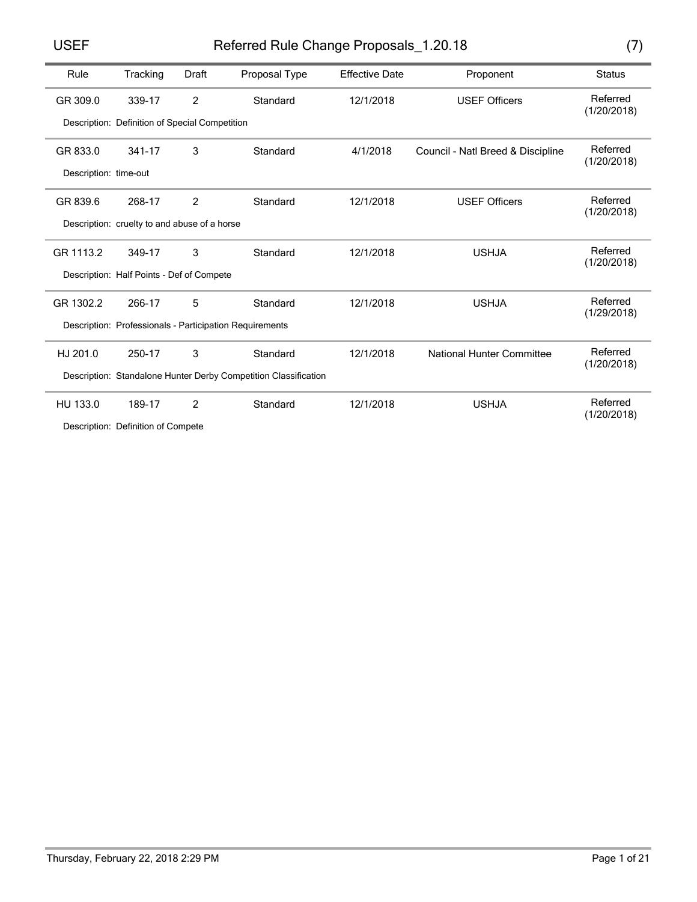# USEF Referred Rule Change Proposals\_1.20.18 (7)

| Rule                  | Tracking                                                | Draft          | Proposal Type                                                   | <b>Effective Date</b> | Proponent                         | <b>Status</b>           |  |
|-----------------------|---------------------------------------------------------|----------------|-----------------------------------------------------------------|-----------------------|-----------------------------------|-------------------------|--|
| GR 309.0              | 339-17                                                  | $\overline{2}$ | Standard                                                        | 12/1/2018             | <b>USEF Officers</b>              | Referred<br>(1/20/2018) |  |
|                       | Description: Definition of Special Competition          |                |                                                                 |                       |                                   |                         |  |
| GR 833.0              | 341-17                                                  | 3              | Standard                                                        | 4/1/2018              | Council - Natl Breed & Discipline | Referred<br>(1/20/2018) |  |
| Description: time-out |                                                         |                |                                                                 |                       |                                   |                         |  |
| GR 839.6              | 268-17                                                  | $\overline{2}$ | Standard                                                        | 12/1/2018             | <b>USEF Officers</b>              | Referred<br>(1/20/2018) |  |
|                       | Description: cruelty to and abuse of a horse            |                |                                                                 |                       |                                   |                         |  |
| GR 1113.2             | 349-17                                                  | 3              | Standard                                                        | 12/1/2018             | <b>USHJA</b>                      | Referred<br>(1/20/2018) |  |
|                       | Description: Half Points - Def of Compete               |                |                                                                 |                       |                                   |                         |  |
| GR 1302.2             | 266-17                                                  | 5              | Standard                                                        | 12/1/2018             | <b>USHJA</b>                      | Referred<br>(1/29/2018) |  |
|                       | Description: Professionals - Participation Requirements |                |                                                                 |                       |                                   |                         |  |
| HJ 201.0              | 250-17                                                  | 3              | Standard                                                        | 12/1/2018             | <b>National Hunter Committee</b>  | Referred<br>(1/20/2018) |  |
|                       |                                                         |                | Description: Standalone Hunter Derby Competition Classification |                       |                                   |                         |  |
| HU 133.0              | 189-17                                                  | $\mathcal{P}$  | Standard                                                        | 12/1/2018             | <b>USHJA</b>                      | Referred<br>(1/20/2018) |  |

Description: Definition of Compete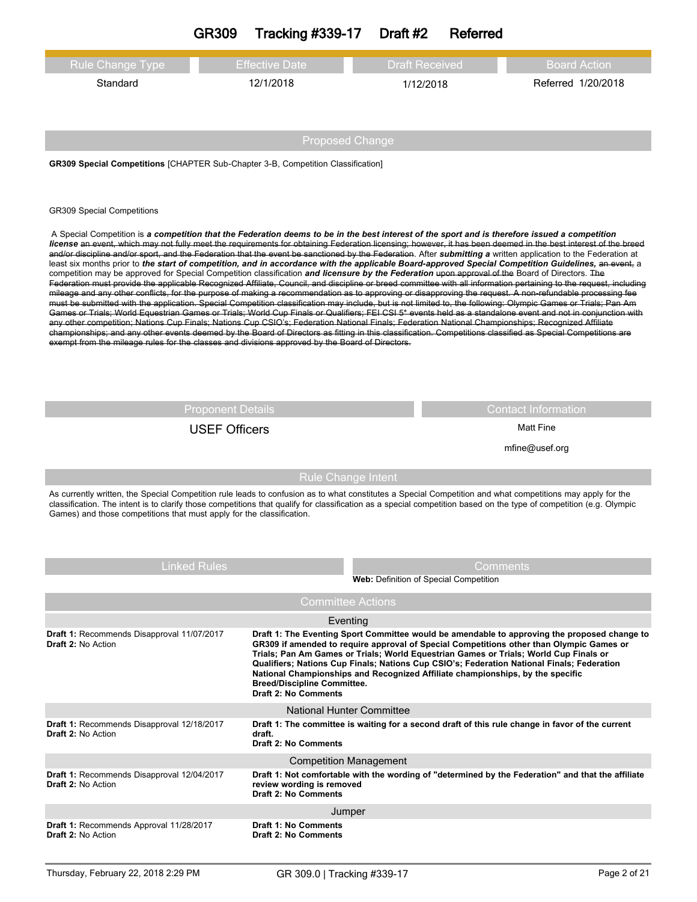|                                                                                                                                                                                                                                                                                                                                                                                                                                                                                                                                                                                                                                                                                                                                                                                                                                                                                                                                                                                                                                                                                                                                                                                                                                                                                                                                                                                                                                                                                                                                                                                                                                                                                                                                                                                                                                                                                                                            | <b>GR309</b>         | <b>Tracking #339-17</b>                                                                                                                                         | Draft #2 | <b>Referred</b>                        |                                                                                                                                                                                                                                                                                                                                                                                 |  |
|----------------------------------------------------------------------------------------------------------------------------------------------------------------------------------------------------------------------------------------------------------------------------------------------------------------------------------------------------------------------------------------------------------------------------------------------------------------------------------------------------------------------------------------------------------------------------------------------------------------------------------------------------------------------------------------------------------------------------------------------------------------------------------------------------------------------------------------------------------------------------------------------------------------------------------------------------------------------------------------------------------------------------------------------------------------------------------------------------------------------------------------------------------------------------------------------------------------------------------------------------------------------------------------------------------------------------------------------------------------------------------------------------------------------------------------------------------------------------------------------------------------------------------------------------------------------------------------------------------------------------------------------------------------------------------------------------------------------------------------------------------------------------------------------------------------------------------------------------------------------------------------------------------------------------|----------------------|-----------------------------------------------------------------------------------------------------------------------------------------------------------------|----------|----------------------------------------|---------------------------------------------------------------------------------------------------------------------------------------------------------------------------------------------------------------------------------------------------------------------------------------------------------------------------------------------------------------------------------|--|
| Rule Change Type<br>Standard                                                                                                                                                                                                                                                                                                                                                                                                                                                                                                                                                                                                                                                                                                                                                                                                                                                                                                                                                                                                                                                                                                                                                                                                                                                                                                                                                                                                                                                                                                                                                                                                                                                                                                                                                                                                                                                                                               |                      | <b>Effective Date</b><br>12/1/2018                                                                                                                              |          | <b>Draft Received</b><br>1/12/2018     | <b>Board Action</b><br>Referred 1/20/2018                                                                                                                                                                                                                                                                                                                                       |  |
|                                                                                                                                                                                                                                                                                                                                                                                                                                                                                                                                                                                                                                                                                                                                                                                                                                                                                                                                                                                                                                                                                                                                                                                                                                                                                                                                                                                                                                                                                                                                                                                                                                                                                                                                                                                                                                                                                                                            |                      | <b>Proposed Change</b>                                                                                                                                          |          |                                        |                                                                                                                                                                                                                                                                                                                                                                                 |  |
| <b>GR309 Special Competitions [CHAPTER Sub-Chapter 3-B, Competition Classification]</b>                                                                                                                                                                                                                                                                                                                                                                                                                                                                                                                                                                                                                                                                                                                                                                                                                                                                                                                                                                                                                                                                                                                                                                                                                                                                                                                                                                                                                                                                                                                                                                                                                                                                                                                                                                                                                                    |                      |                                                                                                                                                                 |          |                                        |                                                                                                                                                                                                                                                                                                                                                                                 |  |
| <b>GR309 Special Competitions</b><br>A Special Competition is a competition that the Federation deems to be in the best interest of the sport and is therefore issued a competition<br>license an event, which may not fully meet the requirements for obtaining Federation licensing; however, it has been deemed in the best interest of the breed<br>and/or discipline and/or sport, and the Federation that the event be sanctioned by the Federation. After submitting a written application to the Federation at<br>least six months prior to the start of competition, and in accordance with the applicable Board-approved Special Competition Guidelines, an event, a<br>competition may be approved for Special Competition classification and licensure by the Federation upon approval of the Board of Directors. The<br>Federation must provide the applicable Recognized Affiliate, Council, and discipline or breed committee with all information pertaining to the request, including<br>mileage and any other conflicts, for the purpose of making a recommendation as to approving or disapproving the request. A non-refundable processing fee<br>must be submitted with the application. Special Competition classification may include, but is not limited to, the following: Olympic Games or Trials; Pan Am<br>Games or Trials; World Equestrian Games or Trials; World Cup Finals or Qualifiers; FEI CSI 5* events held as a standalone event and not in conjunction with<br>any other competition; Nations Cup Finals; Nations Cup CSIO's; Federation National Finals; Federation National Championships; Recognized Affiliate<br>championships; and any other events deemed by the Board of Directors as fitting in this classification. Competitions classified as Special Competitions are<br>exempt from the mileage rules for the classes and divisions approved by the Board of Directors. |                      |                                                                                                                                                                 |          |                                        |                                                                                                                                                                                                                                                                                                                                                                                 |  |
| <b>Proponent Details</b><br><b>Contact Information</b>                                                                                                                                                                                                                                                                                                                                                                                                                                                                                                                                                                                                                                                                                                                                                                                                                                                                                                                                                                                                                                                                                                                                                                                                                                                                                                                                                                                                                                                                                                                                                                                                                                                                                                                                                                                                                                                                     |                      |                                                                                                                                                                 |          |                                        |                                                                                                                                                                                                                                                                                                                                                                                 |  |
|                                                                                                                                                                                                                                                                                                                                                                                                                                                                                                                                                                                                                                                                                                                                                                                                                                                                                                                                                                                                                                                                                                                                                                                                                                                                                                                                                                                                                                                                                                                                                                                                                                                                                                                                                                                                                                                                                                                            | <b>USEF Officers</b> |                                                                                                                                                                 |          | <b>Matt Fine</b>                       |                                                                                                                                                                                                                                                                                                                                                                                 |  |
|                                                                                                                                                                                                                                                                                                                                                                                                                                                                                                                                                                                                                                                                                                                                                                                                                                                                                                                                                                                                                                                                                                                                                                                                                                                                                                                                                                                                                                                                                                                                                                                                                                                                                                                                                                                                                                                                                                                            |                      |                                                                                                                                                                 |          |                                        | mfine@usef.org                                                                                                                                                                                                                                                                                                                                                                  |  |
| As currently written, the Special Competition rule leads to confusion as to what constitutes a Special Competition and what competitions may apply for the<br>classification. The intent is to clarify those competitions that qualify for classification as a special competition based on the type of competition (e.g. Olympic<br>Games) and those competitions that must apply for the classification.                                                                                                                                                                                                                                                                                                                                                                                                                                                                                                                                                                                                                                                                                                                                                                                                                                                                                                                                                                                                                                                                                                                                                                                                                                                                                                                                                                                                                                                                                                                 |                      | <b>Rule Change Intent</b>                                                                                                                                       |          |                                        |                                                                                                                                                                                                                                                                                                                                                                                 |  |
|                                                                                                                                                                                                                                                                                                                                                                                                                                                                                                                                                                                                                                                                                                                                                                                                                                                                                                                                                                                                                                                                                                                                                                                                                                                                                                                                                                                                                                                                                                                                                                                                                                                                                                                                                                                                                                                                                                                            | <b>Linked Rules</b>  |                                                                                                                                                                 |          | Web: Definition of Special Competition | Comments                                                                                                                                                                                                                                                                                                                                                                        |  |
|                                                                                                                                                                                                                                                                                                                                                                                                                                                                                                                                                                                                                                                                                                                                                                                                                                                                                                                                                                                                                                                                                                                                                                                                                                                                                                                                                                                                                                                                                                                                                                                                                                                                                                                                                                                                                                                                                                                            |                      | <b>Committee Actions</b>                                                                                                                                        |          |                                        |                                                                                                                                                                                                                                                                                                                                                                                 |  |
|                                                                                                                                                                                                                                                                                                                                                                                                                                                                                                                                                                                                                                                                                                                                                                                                                                                                                                                                                                                                                                                                                                                                                                                                                                                                                                                                                                                                                                                                                                                                                                                                                                                                                                                                                                                                                                                                                                                            |                      |                                                                                                                                                                 |          |                                        |                                                                                                                                                                                                                                                                                                                                                                                 |  |
| Draft 1: Recommends Disapproval 11/07/2017<br>Draft 2: No Action                                                                                                                                                                                                                                                                                                                                                                                                                                                                                                                                                                                                                                                                                                                                                                                                                                                                                                                                                                                                                                                                                                                                                                                                                                                                                                                                                                                                                                                                                                                                                                                                                                                                                                                                                                                                                                                           |                      | Eventing<br>National Championships and Recognized Affiliate championships, by the specific<br><b>Breed/Discipline Committee.</b><br><b>Draft 2: No Comments</b> |          |                                        | Draft 1: The Eventing Sport Committee would be amendable to approving the proposed change to<br>GR309 if amended to require approval of Special Competitions other than Olympic Games or<br>Trials; Pan Am Games or Trials; World Equestrian Games or Trials; World Cup Finals or<br>Qualifiers; Nations Cup Finals; Nations Cup CSIO's; Federation National Finals; Federation |  |
| Draft 1: Recommends Disapproval 12/18/2017<br><b>Draft 2: No Action</b>                                                                                                                                                                                                                                                                                                                                                                                                                                                                                                                                                                                                                                                                                                                                                                                                                                                                                                                                                                                                                                                                                                                                                                                                                                                                                                                                                                                                                                                                                                                                                                                                                                                                                                                                                                                                                                                    |                      | <b>National Hunter Committee</b><br>draft.<br><b>Draft 2: No Comments</b>                                                                                       |          |                                        | Draft 1: The committee is waiting for a second draft of this rule change in favor of the current                                                                                                                                                                                                                                                                                |  |
| Draft 1: Recommends Disapproval 12/04/2017<br><b>Draft 2: No Action</b>                                                                                                                                                                                                                                                                                                                                                                                                                                                                                                                                                                                                                                                                                                                                                                                                                                                                                                                                                                                                                                                                                                                                                                                                                                                                                                                                                                                                                                                                                                                                                                                                                                                                                                                                                                                                                                                    |                      | <b>Competition Management</b><br>review wording is removed<br><b>Draft 2: No Comments</b>                                                                       |          |                                        | Draft 1: Not comfortable with the wording of "determined by the Federation" and that the affiliate                                                                                                                                                                                                                                                                              |  |
|                                                                                                                                                                                                                                                                                                                                                                                                                                                                                                                                                                                                                                                                                                                                                                                                                                                                                                                                                                                                                                                                                                                                                                                                                                                                                                                                                                                                                                                                                                                                                                                                                                                                                                                                                                                                                                                                                                                            |                      | Jumper                                                                                                                                                          |          |                                        |                                                                                                                                                                                                                                                                                                                                                                                 |  |
| Draft 1: Recommends Approval 11/28/2017<br><b>Draft 2: No Action</b>                                                                                                                                                                                                                                                                                                                                                                                                                                                                                                                                                                                                                                                                                                                                                                                                                                                                                                                                                                                                                                                                                                                                                                                                                                                                                                                                                                                                                                                                                                                                                                                                                                                                                                                                                                                                                                                       |                      | <b>Draft 1: No Comments</b><br><b>Draft 2: No Comments</b>                                                                                                      |          |                                        |                                                                                                                                                                                                                                                                                                                                                                                 |  |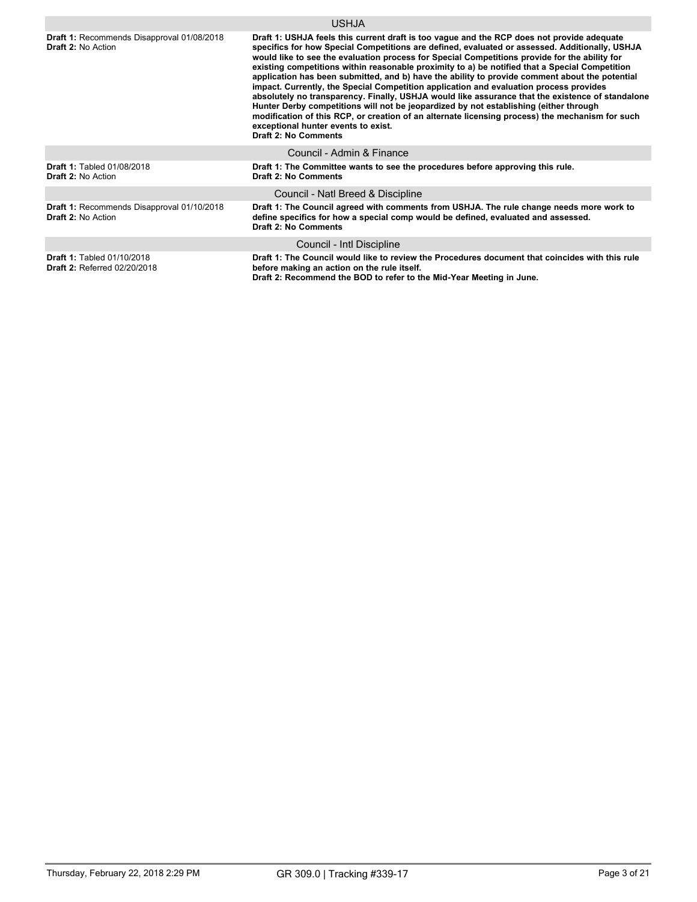|                                                                          | <b>USHJA</b>                                                                                                                                                                                                                                                                                                                                                                                                                                                                                                                                                                                                                                                                                                                                                                                                                                                                                                                                                      |
|--------------------------------------------------------------------------|-------------------------------------------------------------------------------------------------------------------------------------------------------------------------------------------------------------------------------------------------------------------------------------------------------------------------------------------------------------------------------------------------------------------------------------------------------------------------------------------------------------------------------------------------------------------------------------------------------------------------------------------------------------------------------------------------------------------------------------------------------------------------------------------------------------------------------------------------------------------------------------------------------------------------------------------------------------------|
| Draft 1: Recommends Disapproval 01/08/2018<br><b>Draft 2: No Action</b>  | Draft 1: USHJA feels this current draft is too vague and the RCP does not provide adequate<br>specifics for how Special Competitions are defined, evaluated or assessed. Additionally, USHJA<br>would like to see the evaluation process for Special Competitions provide for the ability for<br>existing competitions within reasonable proximity to a) be notified that a Special Competition<br>application has been submitted, and b) have the ability to provide comment about the potential<br>impact. Currently, the Special Competition application and evaluation process provides<br>absolutely no transparency. Finally, USHJA would like assurance that the existence of standalone<br>Hunter Derby competitions will not be jeopardized by not establishing (either through<br>modification of this RCP, or creation of an alternate licensing process) the mechanism for such<br>exceptional hunter events to exist.<br><b>Draft 2: No Comments</b> |
|                                                                          | Council - Admin & Finance                                                                                                                                                                                                                                                                                                                                                                                                                                                                                                                                                                                                                                                                                                                                                                                                                                                                                                                                         |
| <b>Draft 1: Tabled 01/08/2018</b><br><b>Draft 2: No Action</b>           | Draft 1: The Committee wants to see the procedures before approving this rule.<br><b>Draft 2: No Comments</b>                                                                                                                                                                                                                                                                                                                                                                                                                                                                                                                                                                                                                                                                                                                                                                                                                                                     |
|                                                                          | Council - Natl Breed & Discipline                                                                                                                                                                                                                                                                                                                                                                                                                                                                                                                                                                                                                                                                                                                                                                                                                                                                                                                                 |
| Draft 1: Recommends Disapproval 01/10/2018<br><b>Draft 2: No Action</b>  | Draft 1: The Council agreed with comments from USHJA. The rule change needs more work to<br>define specifics for how a special comp would be defined, evaluated and assessed.<br><b>Draft 2: No Comments</b>                                                                                                                                                                                                                                                                                                                                                                                                                                                                                                                                                                                                                                                                                                                                                      |
|                                                                          | Council - Intl Discipline                                                                                                                                                                                                                                                                                                                                                                                                                                                                                                                                                                                                                                                                                                                                                                                                                                                                                                                                         |
| <b>Draft 1: Tabled 01/10/2018</b><br><b>Draft 2: Referred 02/20/2018</b> | Draft 1: The Council would like to review the Procedures document that coincides with this rule<br>before making an action on the rule itself.<br>Draft 2: Recommend the BOD to refer to the Mid-Year Meeting in June.                                                                                                                                                                                                                                                                                                                                                                                                                                                                                                                                                                                                                                                                                                                                            |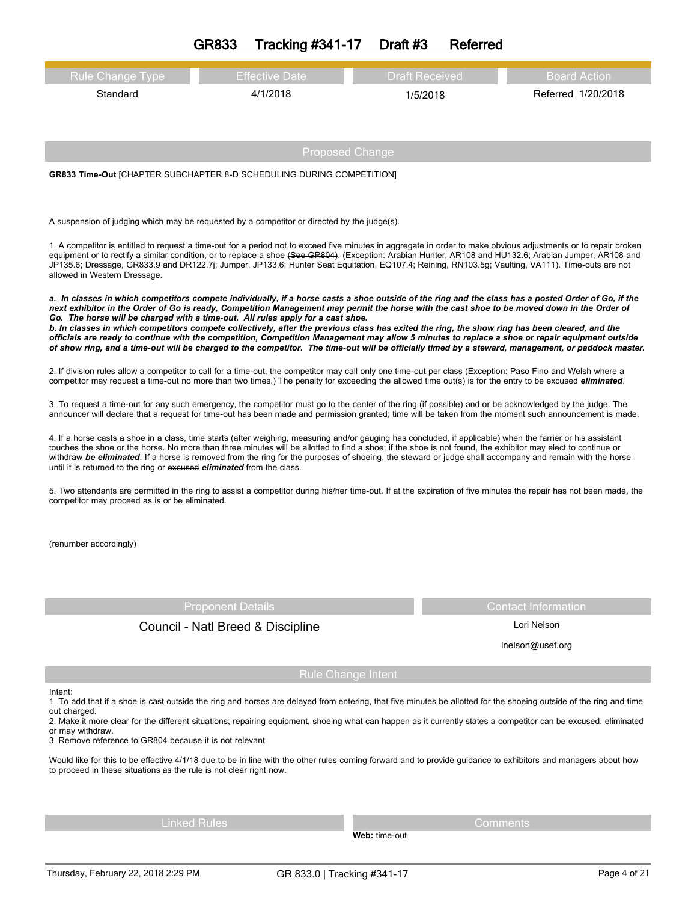| GR833 | <b>Tracking #341-17</b> | Draft #3 | Referred |
|-------|-------------------------|----------|----------|
|-------|-------------------------|----------|----------|

| <b>Rule Change Type</b> | <b>Effective Date</b> | Draft Received | Board Action       |
|-------------------------|-----------------------|----------------|--------------------|
| Standard                | 4/1/2018              | 1/5/2018       | Referred 1/20/2018 |
|                         |                       |                |                    |

**GR833 Time-Out** [CHAPTER SUBCHAPTER 8-D SCHEDULING DURING COMPETITION]

A suspension of judging which may be requested by a competitor or directed by the judge(s).

1. A competitor is entitled to request a time-out for a period not to exceed five minutes in aggregate in order to make obvious adjustments or to repair broken equipment or to rectify a similar condition, or to replace a shoe (See GR804). (Exception: Arabian Hunter, AR108 and HU132.6; Arabian Jumper, AR108 and JP135.6; Dressage, GR833.9 and DR122.7j; Jumper, JP133.6; Hunter Seat Equitation, EQ107.4; Reining, RN103.5g; Vaulting, VA111). Time-outs are not allowed in Western Dressage.

a. In classes in which competitors compete individually, if a horse casts a shoe outside of the ring and the class has a posted Order of Go, if the next exhibitor in the Order of Go is ready, Competition Management may permit the horse with the cast shoe to be moved down in the Order of *Go. The horse will be charged with a time-out. All rules apply for a cast shoe.* b. In classes in which competitors compete collectively, after the previous class has exited the ring, the show ring has been cleared, and the officials are ready to continue with the competition, Competition Management may allow 5 minutes to replace a shoe or repair equipment outside

of show ring, and a time-out will be charged to the competitor. The time-out will be officially timed by a steward, management, or paddock master.

2. If division rules allow a competitor to call for a time-out, the competitor may call only one time-out per class (Exception: Paso Fino and Welsh where a competitor may request a time-out no more than two times.) The penalty for exceeding the allowed time out(s) is for the entry to be excused *eliminated*.

3. To request a time-out for any such emergency, the competitor must go to the center of the ring (if possible) and or be acknowledged by the judge. The announcer will declare that a request for time-out has been made and permission granted; time will be taken from the moment such announcement is made.

4. If a horse casts a shoe in a class, time starts (after weighing, measuring and/or gauging has concluded, if applicable) when the farrier or his assistant touches the shoe or the horse. No more than three minutes will be allotted to find a shoe; if the shoe is not found, the exhibitor may elect to continue or withdraw *be eliminated*. If a horse is removed from the ring for the purposes of shoeing, the steward or judge shall accompany and remain with the horse until it is returned to the ring or excused *eliminated* from the class.

5. Two attendants are permitted in the ring to assist a competitor during his/her time-out. If at the expiration of five minutes the repair has not been made, the competitor may proceed as is or be eliminated.

(renumber accordingly)

# Council - Natl Breed & Discipline Lori Nelson

Proponent Details **Contact Information** 

lnelson@usef.org

#### Intent:

1. To add that if a shoe is cast outside the ring and horses are delayed from entering, that five minutes be allotted for the shoeing outside of the ring and time out charged.

Rule Change Intent

2. Make it more clear for the different situations; repairing equipment, shoeing what can happen as it currently states a competitor can be excused, eliminated or may withdraw.

3. Remove reference to GR804 because it is not relevant

Would like for this to be effective 4/1/18 due to be in line with the other rules coming forward and to provide guidance to exhibitors and managers about how to proceed in these situations as the rule is not clear right now.

Linked Rules Comments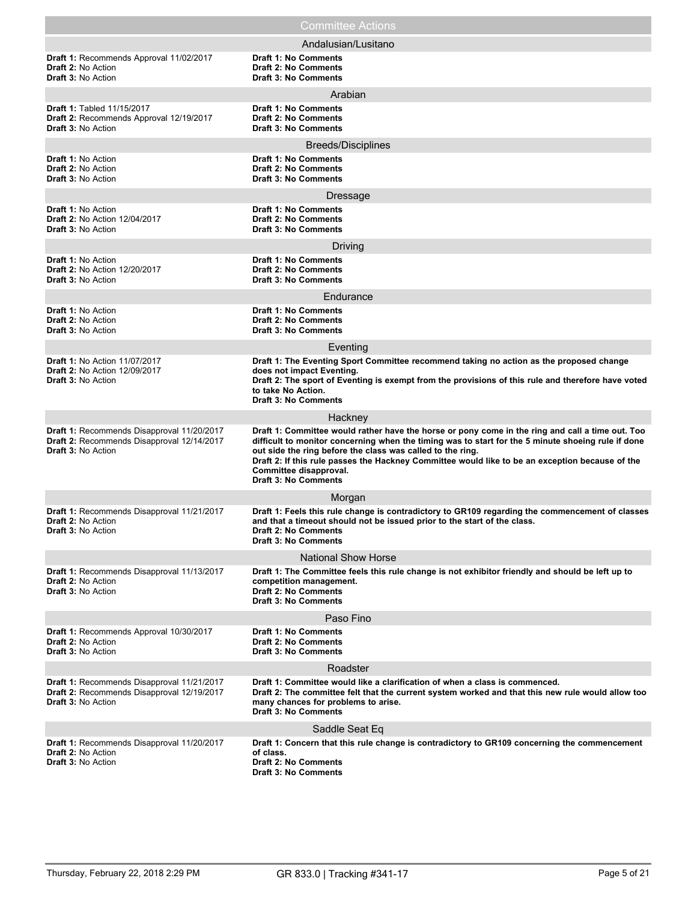|                                                                                                                       | <b>Committee Actions</b>                                                                                                                                                                                                                                                                                                                                                                                                         |
|-----------------------------------------------------------------------------------------------------------------------|----------------------------------------------------------------------------------------------------------------------------------------------------------------------------------------------------------------------------------------------------------------------------------------------------------------------------------------------------------------------------------------------------------------------------------|
|                                                                                                                       | Andalusian/Lusitano                                                                                                                                                                                                                                                                                                                                                                                                              |
| Draft 1: Recommends Approval 11/02/2017<br><b>Draft 2: No Action</b><br><b>Draft 3: No Action</b>                     | <b>Draft 1: No Comments</b><br><b>Draft 2: No Comments</b><br><b>Draft 3: No Comments</b>                                                                                                                                                                                                                                                                                                                                        |
|                                                                                                                       | Arabian                                                                                                                                                                                                                                                                                                                                                                                                                          |
| <b>Draft 1: Tabled 11/15/2017</b><br>Draft 2: Recommends Approval 12/19/2017<br><b>Draft 3: No Action</b>             | <b>Draft 1: No Comments</b><br><b>Draft 2: No Comments</b><br><b>Draft 3: No Comments</b>                                                                                                                                                                                                                                                                                                                                        |
|                                                                                                                       | Breeds/Disciplines                                                                                                                                                                                                                                                                                                                                                                                                               |
| <b>Draft 1: No Action</b><br>Draft 2: No Action<br><b>Draft 3: No Action</b>                                          | <b>Draft 1: No Comments</b><br><b>Draft 2: No Comments</b><br><b>Draft 3: No Comments</b>                                                                                                                                                                                                                                                                                                                                        |
|                                                                                                                       | <b>Dressage</b>                                                                                                                                                                                                                                                                                                                                                                                                                  |
| <b>Draft 1: No Action</b><br>Draft 2: No Action 12/04/2017<br><b>Draft 3: No Action</b>                               | <b>Draft 1: No Comments</b><br><b>Draft 2: No Comments</b><br><b>Draft 3: No Comments</b>                                                                                                                                                                                                                                                                                                                                        |
|                                                                                                                       | Driving                                                                                                                                                                                                                                                                                                                                                                                                                          |
| <b>Draft 1: No Action</b><br><b>Draft 2: No Action 12/20/2017</b><br><b>Draft 3: No Action</b>                        | <b>Draft 1: No Comments</b><br><b>Draft 2: No Comments</b><br><b>Draft 3: No Comments</b>                                                                                                                                                                                                                                                                                                                                        |
|                                                                                                                       | Endurance                                                                                                                                                                                                                                                                                                                                                                                                                        |
| Draft 1: No Action<br><b>Draft 2: No Action</b><br><b>Draft 3: No Action</b>                                          | <b>Draft 1: No Comments</b><br><b>Draft 2: No Comments</b><br><b>Draft 3: No Comments</b>                                                                                                                                                                                                                                                                                                                                        |
|                                                                                                                       | Eventing                                                                                                                                                                                                                                                                                                                                                                                                                         |
| <b>Draft 1: No Action 11/07/2017</b><br><b>Draft 2: No Action 12/09/2017</b><br><b>Draft 3: No Action</b>             | Draft 1: The Eventing Sport Committee recommend taking no action as the proposed change<br>does not impact Eventing.<br>Draft 2: The sport of Eventing is exempt from the provisions of this rule and therefore have voted<br>to take No Action.<br><b>Draft 3: No Comments</b>                                                                                                                                                  |
|                                                                                                                       | Hackney                                                                                                                                                                                                                                                                                                                                                                                                                          |
| Draft 1: Recommends Disapproval 11/20/2017<br>Draft 2: Recommends Disapproval 12/14/2017<br><b>Draft 3: No Action</b> | Draft 1: Committee would rather have the horse or pony come in the ring and call a time out. Too<br>difficult to monitor concerning when the timing was to start for the 5 minute shoeing rule if done<br>out side the ring before the class was called to the ring.<br>Draft 2: If this rule passes the Hackney Committee would like to be an exception because of the<br>Committee disapproval.<br><b>Draft 3: No Comments</b> |
|                                                                                                                       | Morgan                                                                                                                                                                                                                                                                                                                                                                                                                           |
| Draft 1: Recommends Disapproval 11/21/2017<br>Draft 2: No Action<br><b>Draft 3: No Action</b>                         | Draft 1: Feels this rule change is contradictory to GR109 regarding the commencement of classes<br>and that a timeout should not be issued prior to the start of the class.<br><b>Draft 2: No Comments</b><br><b>Draft 3: No Comments</b>                                                                                                                                                                                        |
|                                                                                                                       | <b>National Show Horse</b>                                                                                                                                                                                                                                                                                                                                                                                                       |
| Draft 1: Recommends Disapproval 11/13/2017<br><b>Draft 2: No Action</b><br><b>Draft 3: No Action</b>                  | Draft 1: The Committee feels this rule change is not exhibitor friendly and should be left up to<br>competition management.<br><b>Draft 2: No Comments</b><br><b>Draft 3: No Comments</b>                                                                                                                                                                                                                                        |
|                                                                                                                       | Paso Fino                                                                                                                                                                                                                                                                                                                                                                                                                        |
| Draft 1: Recommends Approval 10/30/2017<br>Draft 2: No Action<br><b>Draft 3: No Action</b>                            | <b>Draft 1: No Comments</b><br><b>Draft 2: No Comments</b><br><b>Draft 3: No Comments</b>                                                                                                                                                                                                                                                                                                                                        |
|                                                                                                                       | Roadster                                                                                                                                                                                                                                                                                                                                                                                                                         |
| Draft 1: Recommends Disapproval 11/21/2017<br>Draft 2: Recommends Disapproval 12/19/2017<br><b>Draft 3: No Action</b> | Draft 1: Committee would like a clarification of when a class is commenced.<br>Draft 2: The committee felt that the current system worked and that this new rule would allow too<br>many chances for problems to arise.<br><b>Draft 3: No Comments</b>                                                                                                                                                                           |
|                                                                                                                       | Saddle Seat Eq                                                                                                                                                                                                                                                                                                                                                                                                                   |
| Draft 1: Recommends Disapproval 11/20/2017<br><b>Draft 2: No Action</b><br><b>Draft 3: No Action</b>                  | Draft 1: Concern that this rule change is contradictory to GR109 concerning the commencement<br>of class.<br><b>Draft 2: No Comments</b><br><b>Draft 3: No Comments</b>                                                                                                                                                                                                                                                          |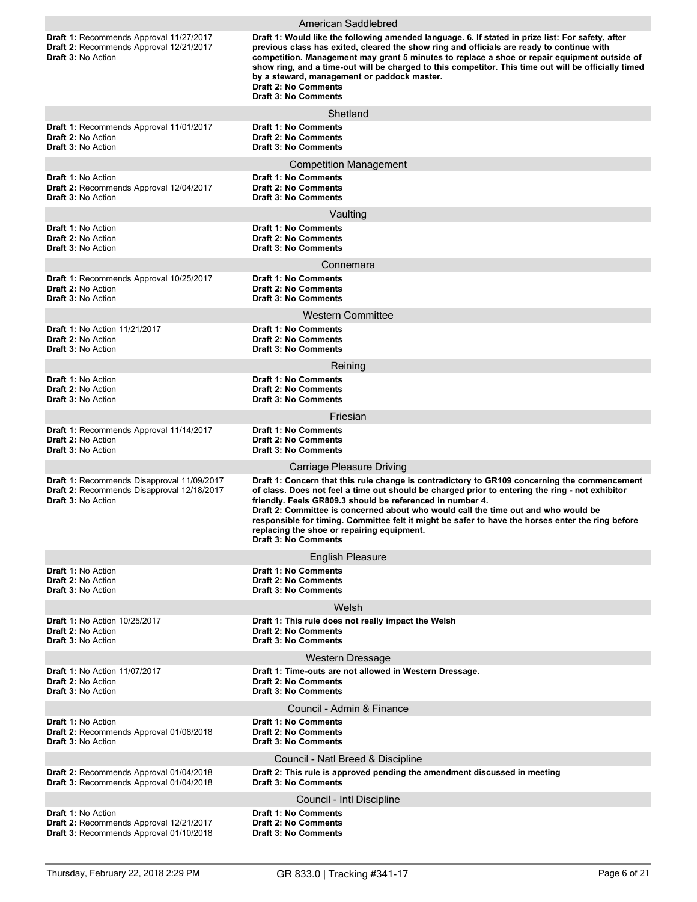|                                                                                                                               | American Saddlebred                                                                                                                                                                                                                                                                                                                                                                                                                                                                                                                  |
|-------------------------------------------------------------------------------------------------------------------------------|--------------------------------------------------------------------------------------------------------------------------------------------------------------------------------------------------------------------------------------------------------------------------------------------------------------------------------------------------------------------------------------------------------------------------------------------------------------------------------------------------------------------------------------|
| <b>Draft 1: Recommends Approval 11/27/2017</b><br><b>Draft 2: Recommends Approval 12/21/2017</b><br><b>Draft 3: No Action</b> | Draft 1: Would like the following amended language. 6. If stated in prize list: For safety, after<br>previous class has exited, cleared the show ring and officials are ready to continue with<br>competition. Management may grant 5 minutes to replace a shoe or repair equipment outside of<br>show ring, and a time-out will be charged to this competitor. This time out will be officially timed<br>by a steward, management or paddock master.<br>Draft 2: No Comments<br><b>Draft 3: No Comments</b>                         |
|                                                                                                                               | Shetland                                                                                                                                                                                                                                                                                                                                                                                                                                                                                                                             |
| Draft 1: Recommends Approval 11/01/2017<br><b>Draft 2: No Action</b><br><b>Draft 3: No Action</b>                             | Draft 1: No Comments<br><b>Draft 2: No Comments</b><br><b>Draft 3: No Comments</b>                                                                                                                                                                                                                                                                                                                                                                                                                                                   |
| <b>Draft 1: No Action</b><br>Draft 2: Recommends Approval 12/04/2017<br><b>Draft 3: No Action</b>                             | <b>Competition Management</b><br><b>Draft 1: No Comments</b><br><b>Draft 2: No Comments</b><br><b>Draft 3: No Comments</b>                                                                                                                                                                                                                                                                                                                                                                                                           |
|                                                                                                                               | Vaulting                                                                                                                                                                                                                                                                                                                                                                                                                                                                                                                             |
| Draft 1: No Action<br><b>Draft 2: No Action</b><br><b>Draft 3: No Action</b>                                                  | Draft 1: No Comments<br><b>Draft 2: No Comments</b><br><b>Draft 3: No Comments</b><br>Connemara                                                                                                                                                                                                                                                                                                                                                                                                                                      |
|                                                                                                                               | <b>Draft 1: No Comments</b>                                                                                                                                                                                                                                                                                                                                                                                                                                                                                                          |
| <b>Draft 1: Recommends Approval 10/25/2017</b><br>Draft 2: No Action<br>Draft 3: No Action                                    | <b>Draft 2: No Comments</b><br><b>Draft 3: No Comments</b>                                                                                                                                                                                                                                                                                                                                                                                                                                                                           |
|                                                                                                                               | <b>Western Committee</b>                                                                                                                                                                                                                                                                                                                                                                                                                                                                                                             |
| <b>Draft 1: No Action 11/21/2017</b><br><b>Draft 2: No Action</b><br><b>Draft 3: No Action</b>                                | <b>Draft 1: No Comments</b><br><b>Draft 2: No Comments</b><br><b>Draft 3: No Comments</b>                                                                                                                                                                                                                                                                                                                                                                                                                                            |
|                                                                                                                               | Reining                                                                                                                                                                                                                                                                                                                                                                                                                                                                                                                              |
| <b>Draft 1: No Action</b><br><b>Draft 2: No Action</b><br><b>Draft 3: No Action</b>                                           | <b>Draft 1: No Comments</b><br><b>Draft 2: No Comments</b><br><b>Draft 3: No Comments</b>                                                                                                                                                                                                                                                                                                                                                                                                                                            |
|                                                                                                                               | Friesian                                                                                                                                                                                                                                                                                                                                                                                                                                                                                                                             |
| Draft 1: Recommends Approval 11/14/2017<br><b>Draft 2: No Action</b><br><b>Draft 3: No Action</b>                             | <b>Draft 1: No Comments</b><br><b>Draft 2: No Comments</b><br><b>Draft 3: No Comments</b>                                                                                                                                                                                                                                                                                                                                                                                                                                            |
|                                                                                                                               | Carriage Pleasure Driving                                                                                                                                                                                                                                                                                                                                                                                                                                                                                                            |
| Draft 1: Recommends Disapproval 11/09/2017<br>Draft 2: Recommends Disapproval 12/18/2017<br><b>Draft 3: No Action</b>         | Draft 1: Concern that this rule change is contradictory to GR109 concerning the commencement<br>of class. Does not feel a time out should be charged prior to entering the ring - not exhibitor<br>friendly. Feels GR809.3 should be referenced in number 4.<br>Draft 2: Committee is concerned about who would call the time out and who would be<br>responsible for timing. Committee felt it might be safer to have the horses enter the ring before<br>replacing the shoe or repairing equipment.<br><b>Draft 3: No Comments</b> |
|                                                                                                                               | <b>English Pleasure</b>                                                                                                                                                                                                                                                                                                                                                                                                                                                                                                              |
| <b>Draft 1: No Action</b><br><b>Draft 2: No Action</b><br><b>Draft 3: No Action</b>                                           | <b>Draft 1: No Comments</b><br><b>Draft 2: No Comments</b><br><b>Draft 3: No Comments</b>                                                                                                                                                                                                                                                                                                                                                                                                                                            |
|                                                                                                                               | Welsh                                                                                                                                                                                                                                                                                                                                                                                                                                                                                                                                |
| <b>Draft 1: No Action 10/25/2017</b><br>Draft 2: No Action<br>Draft 3: No Action                                              | Draft 1: This rule does not really impact the Welsh<br>Draft 2: No Comments<br><b>Draft 3: No Comments</b>                                                                                                                                                                                                                                                                                                                                                                                                                           |
|                                                                                                                               | <b>Western Dressage</b>                                                                                                                                                                                                                                                                                                                                                                                                                                                                                                              |
| <b>Draft 1: No Action 11/07/2017</b><br><b>Draft 2: No Action</b><br><b>Draft 3: No Action</b>                                | Draft 1: Time-outs are not allowed in Western Dressage.<br><b>Draft 2: No Comments</b><br><b>Draft 3: No Comments</b>                                                                                                                                                                                                                                                                                                                                                                                                                |
|                                                                                                                               | Council - Admin & Finance                                                                                                                                                                                                                                                                                                                                                                                                                                                                                                            |
| <b>Draft 1: No Action</b><br>Draft 2: Recommends Approval 01/08/2018<br><b>Draft 3: No Action</b>                             | <b>Draft 1: No Comments</b><br><b>Draft 2: No Comments</b><br><b>Draft 3: No Comments</b>                                                                                                                                                                                                                                                                                                                                                                                                                                            |
|                                                                                                                               | Council - Natl Breed & Discipline                                                                                                                                                                                                                                                                                                                                                                                                                                                                                                    |
| Draft 2: Recommends Approval 01/04/2018<br>Draft 3: Recommends Approval 01/04/2018                                            | Draft 2: This rule is approved pending the amendment discussed in meeting<br><b>Draft 3: No Comments</b>                                                                                                                                                                                                                                                                                                                                                                                                                             |
|                                                                                                                               | Council - Intl Discipline                                                                                                                                                                                                                                                                                                                                                                                                                                                                                                            |
| <b>Draft 1: No Action</b><br>Draft 2: Recommends Approval 12/21/2017<br>Draft 3: Recommends Approval 01/10/2018               | <b>Draft 1: No Comments</b><br><b>Draft 2: No Comments</b><br><b>Draft 3: No Comments</b>                                                                                                                                                                                                                                                                                                                                                                                                                                            |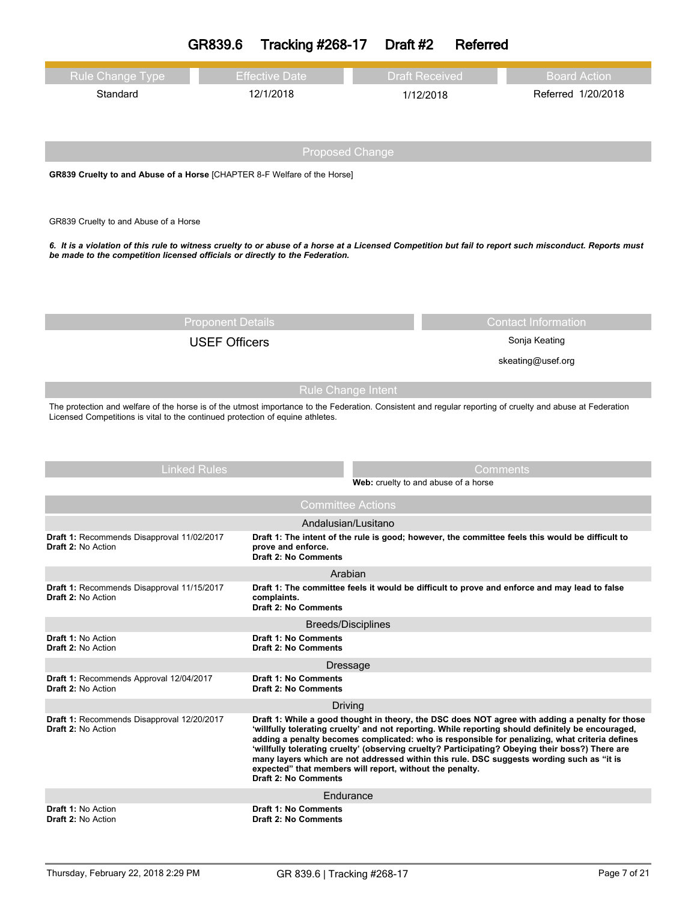|                                                                                                                                                                                                                                                                           | GR839.6                                          | <b>Tracking #268-17</b>                                                                                                                                                              | Draft #2              | Referred                                         |                                                                                                                                                                                                                                                                                                          |
|---------------------------------------------------------------------------------------------------------------------------------------------------------------------------------------------------------------------------------------------------------------------------|--------------------------------------------------|--------------------------------------------------------------------------------------------------------------------------------------------------------------------------------------|-----------------------|--------------------------------------------------|----------------------------------------------------------------------------------------------------------------------------------------------------------------------------------------------------------------------------------------------------------------------------------------------------------|
| <b>Rule Change Type</b>                                                                                                                                                                                                                                                   |                                                  | <b>Effective Date</b>                                                                                                                                                                | <b>Draft Received</b> |                                                  | <b>Board Action</b>                                                                                                                                                                                                                                                                                      |
| Standard                                                                                                                                                                                                                                                                  |                                                  | 12/1/2018                                                                                                                                                                            |                       | 1/12/2018                                        | Referred 1/20/2018                                                                                                                                                                                                                                                                                       |
|                                                                                                                                                                                                                                                                           |                                                  |                                                                                                                                                                                      |                       |                                                  |                                                                                                                                                                                                                                                                                                          |
|                                                                                                                                                                                                                                                                           |                                                  | <b>Proposed Change</b>                                                                                                                                                               |                       |                                                  |                                                                                                                                                                                                                                                                                                          |
| GR839 Cruelty to and Abuse of a Horse [CHAPTER 8-F Welfare of the Horse]                                                                                                                                                                                                  |                                                  |                                                                                                                                                                                      |                       |                                                  |                                                                                                                                                                                                                                                                                                          |
| GR839 Cruelty to and Abuse of a Horse                                                                                                                                                                                                                                     |                                                  |                                                                                                                                                                                      |                       |                                                  |                                                                                                                                                                                                                                                                                                          |
| 6. It is a violation of this rule to witness cruelty to or abuse of a horse at a Licensed Competition but fail to report such misconduct. Reports must<br>be made to the competition licensed officials or directly to the Federation.                                    |                                                  |                                                                                                                                                                                      |                       |                                                  |                                                                                                                                                                                                                                                                                                          |
|                                                                                                                                                                                                                                                                           |                                                  |                                                                                                                                                                                      |                       |                                                  |                                                                                                                                                                                                                                                                                                          |
|                                                                                                                                                                                                                                                                           | <b>Proponent Details</b><br><b>USEF Officers</b> |                                                                                                                                                                                      |                       |                                                  | <b>Contact Information</b><br>Sonja Keating                                                                                                                                                                                                                                                              |
|                                                                                                                                                                                                                                                                           |                                                  |                                                                                                                                                                                      |                       |                                                  | skeating@usef.org                                                                                                                                                                                                                                                                                        |
|                                                                                                                                                                                                                                                                           |                                                  |                                                                                                                                                                                      |                       |                                                  |                                                                                                                                                                                                                                                                                                          |
| <b>Rule Change Intent</b><br>The protection and welfare of the horse is of the utmost importance to the Federation. Consistent and regular reporting of cruelty and abuse at Federation<br>Licensed Competitions is vital to the continued protection of equine athletes. |                                                  |                                                                                                                                                                                      |                       |                                                  |                                                                                                                                                                                                                                                                                                          |
|                                                                                                                                                                                                                                                                           |                                                  |                                                                                                                                                                                      |                       |                                                  |                                                                                                                                                                                                                                                                                                          |
|                                                                                                                                                                                                                                                                           | <b>Linked Rules</b>                              |                                                                                                                                                                                      |                       | Comments<br>Web: cruelty to and abuse of a horse |                                                                                                                                                                                                                                                                                                          |
|                                                                                                                                                                                                                                                                           |                                                  | <b>Committee Actions</b>                                                                                                                                                             |                       |                                                  |                                                                                                                                                                                                                                                                                                          |
|                                                                                                                                                                                                                                                                           |                                                  | Andalusian/Lusitano                                                                                                                                                                  |                       |                                                  |                                                                                                                                                                                                                                                                                                          |
| Draft 1: Recommends Disapproval 11/02/2017<br><b>Draft 2: No Action</b>                                                                                                                                                                                                   |                                                  | prove and enforce.<br><b>Draft 2: No Comments</b>                                                                                                                                    |                       |                                                  | Draft 1: The intent of the rule is good; however, the committee feels this would be difficult to                                                                                                                                                                                                         |
|                                                                                                                                                                                                                                                                           |                                                  | Arabian                                                                                                                                                                              |                       |                                                  |                                                                                                                                                                                                                                                                                                          |
| <b>Draft 1: Recommends Disapproval 11/15/2017</b><br><b>Draft 2: No Action</b>                                                                                                                                                                                            |                                                  | Draft 1: The committee feels it would be difficult to prove and enforce and may lead to false<br>complaints.<br><b>Draft 2: No Comments</b>                                          |                       |                                                  |                                                                                                                                                                                                                                                                                                          |
|                                                                                                                                                                                                                                                                           |                                                  | <b>Breeds/Disciplines</b>                                                                                                                                                            |                       |                                                  |                                                                                                                                                                                                                                                                                                          |
| Draft 1: No Action<br>Draft 2: No Action                                                                                                                                                                                                                                  |                                                  | <b>Draft 1: No Comments</b><br><b>Draft 2: No Comments</b>                                                                                                                           |                       |                                                  |                                                                                                                                                                                                                                                                                                          |
|                                                                                                                                                                                                                                                                           |                                                  | Dressage                                                                                                                                                                             |                       |                                                  |                                                                                                                                                                                                                                                                                                          |
| Draft 1: Recommends Approval 12/04/2017<br><b>Draft 2: No Action</b>                                                                                                                                                                                                      |                                                  | <b>Draft 1: No Comments</b><br><b>Draft 2: No Comments</b>                                                                                                                           |                       |                                                  |                                                                                                                                                                                                                                                                                                          |
| Draft 1: Recommends Disapproval 12/20/2017                                                                                                                                                                                                                                |                                                  | Driving                                                                                                                                                                              |                       |                                                  | Draft 1: While a good thought in theory, the DSC does NOT agree with adding a penalty for those                                                                                                                                                                                                          |
| <b>Draft 2: No Action</b>                                                                                                                                                                                                                                                 |                                                  | many layers which are not addressed within this rule. DSC suggests wording such as "it is<br>expected" that members will report, without the penalty.<br><b>Draft 2: No Comments</b> |                       |                                                  | 'willfully tolerating cruelty' and not reporting. While reporting should definitely be encouraged,<br>adding a penalty becomes complicated: who is responsible for penalizing, what criteria defines<br>'willfully tolerating cruelty' (observing cruelty? Participating? Obeying their boss?) There are |
|                                                                                                                                                                                                                                                                           |                                                  | Endurance                                                                                                                                                                            |                       |                                                  |                                                                                                                                                                                                                                                                                                          |
| <b>Draft 1: No Action</b><br><b>Draft 2: No Action</b>                                                                                                                                                                                                                    |                                                  | <b>Draft 1: No Comments</b><br><b>Draft 2: No Comments</b>                                                                                                                           |                       |                                                  |                                                                                                                                                                                                                                                                                                          |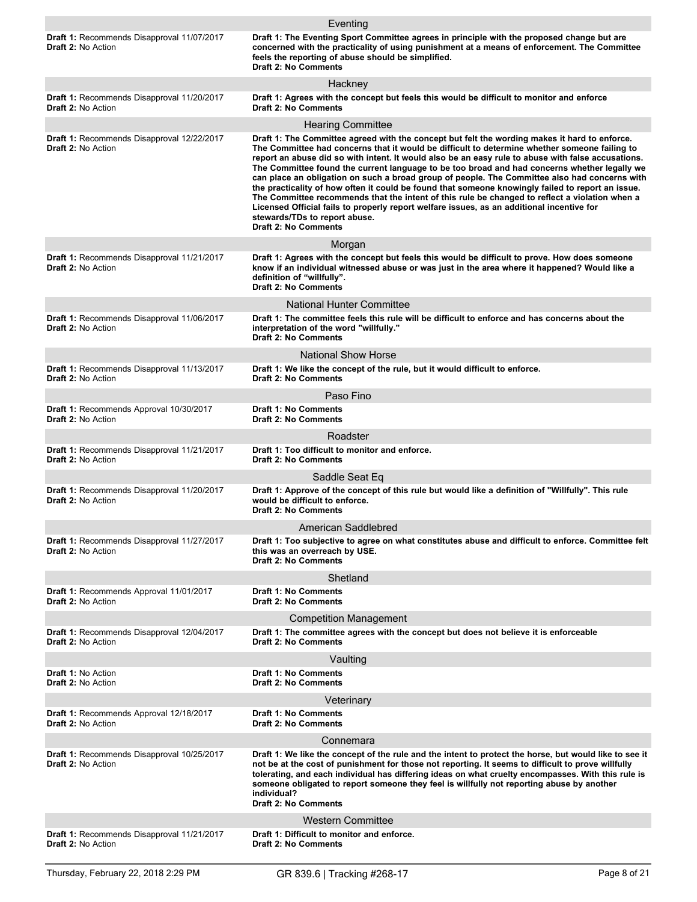|                                                                         | Eventing                                                                                                                                                                                                                                                                                                                                                                                                                                                                                                                                                                                                                                                                                                                                                                                                                                                                  |
|-------------------------------------------------------------------------|---------------------------------------------------------------------------------------------------------------------------------------------------------------------------------------------------------------------------------------------------------------------------------------------------------------------------------------------------------------------------------------------------------------------------------------------------------------------------------------------------------------------------------------------------------------------------------------------------------------------------------------------------------------------------------------------------------------------------------------------------------------------------------------------------------------------------------------------------------------------------|
| Draft 1: Recommends Disapproval 11/07/2017<br><b>Draft 2: No Action</b> | Draft 1: The Eventing Sport Committee agrees in principle with the proposed change but are<br>concerned with the practicality of using punishment at a means of enforcement. The Committee<br>feels the reporting of abuse should be simplified.<br><b>Draft 2: No Comments</b>                                                                                                                                                                                                                                                                                                                                                                                                                                                                                                                                                                                           |
|                                                                         | Hackney                                                                                                                                                                                                                                                                                                                                                                                                                                                                                                                                                                                                                                                                                                                                                                                                                                                                   |
| Draft 1: Recommends Disapproval 11/20/2017<br>Draft 2: No Action        | Draft 1: Agrees with the concept but feels this would be difficult to monitor and enforce<br><b>Draft 2: No Comments</b>                                                                                                                                                                                                                                                                                                                                                                                                                                                                                                                                                                                                                                                                                                                                                  |
|                                                                         | <b>Hearing Committee</b>                                                                                                                                                                                                                                                                                                                                                                                                                                                                                                                                                                                                                                                                                                                                                                                                                                                  |
| <b>Draft 1: Recommends Disapproval 12/22/2017</b><br>Draft 2: No Action | Draft 1: The Committee agreed with the concept but felt the wording makes it hard to enforce.<br>The Committee had concerns that it would be difficult to determine whether someone failing to<br>report an abuse did so with intent. It would also be an easy rule to abuse with false accusations.<br>The Committee found the current language to be too broad and had concerns whether legally we<br>can place an obligation on such a broad group of people. The Committee also had concerns with<br>the practicality of how often it could be found that someone knowingly failed to report an issue.<br>The Committee recommends that the intent of this rule be changed to reflect a violation when a<br>Licensed Official fails to properly report welfare issues, as an additional incentive for<br>stewards/TDs to report abuse.<br><b>Draft 2: No Comments</b> |
|                                                                         | Morgan                                                                                                                                                                                                                                                                                                                                                                                                                                                                                                                                                                                                                                                                                                                                                                                                                                                                    |
| Draft 1: Recommends Disapproval 11/21/2017<br><b>Draft 2: No Action</b> | Draft 1: Agrees with the concept but feels this would be difficult to prove. How does someone<br>know if an individual witnessed abuse or was just in the area where it happened? Would like a<br>definition of "willfully".<br><b>Draft 2: No Comments</b>                                                                                                                                                                                                                                                                                                                                                                                                                                                                                                                                                                                                               |
|                                                                         | National Hunter Committee                                                                                                                                                                                                                                                                                                                                                                                                                                                                                                                                                                                                                                                                                                                                                                                                                                                 |
| Draft 1: Recommends Disapproval 11/06/2017<br>Draft 2: No Action        | Draft 1: The committee feels this rule will be difficult to enforce and has concerns about the<br>interpretation of the word "willfully."<br><b>Draft 2: No Comments</b>                                                                                                                                                                                                                                                                                                                                                                                                                                                                                                                                                                                                                                                                                                  |
|                                                                         | <b>National Show Horse</b>                                                                                                                                                                                                                                                                                                                                                                                                                                                                                                                                                                                                                                                                                                                                                                                                                                                |
| Draft 1: Recommends Disapproval 11/13/2017<br>Draft 2: No Action        | Draft 1: We like the concept of the rule, but it would difficult to enforce.<br><b>Draft 2: No Comments</b>                                                                                                                                                                                                                                                                                                                                                                                                                                                                                                                                                                                                                                                                                                                                                               |
|                                                                         | Paso Fino                                                                                                                                                                                                                                                                                                                                                                                                                                                                                                                                                                                                                                                                                                                                                                                                                                                                 |
| <b>Draft 1: Recommends Approval 10/30/2017</b><br>Draft 2: No Action    | <b>Draft 1: No Comments</b><br><b>Draft 2: No Comments</b>                                                                                                                                                                                                                                                                                                                                                                                                                                                                                                                                                                                                                                                                                                                                                                                                                |
|                                                                         | Roadster                                                                                                                                                                                                                                                                                                                                                                                                                                                                                                                                                                                                                                                                                                                                                                                                                                                                  |
| Draft 1: Recommends Disapproval 11/21/2017<br>Draft 2: No Action        | Draft 1: Too difficult to monitor and enforce.<br><b>Draft 2: No Comments</b>                                                                                                                                                                                                                                                                                                                                                                                                                                                                                                                                                                                                                                                                                                                                                                                             |
|                                                                         | Saddle Seat Eq                                                                                                                                                                                                                                                                                                                                                                                                                                                                                                                                                                                                                                                                                                                                                                                                                                                            |
| Draft 1: Recommends Disapproval 11/20/2017<br>Draft 2: No Action        | Draft 1: Approve of the concept of this rule but would like a definition of "Willfully". This rule<br>would be difficult to enforce.<br><b>Draft 2: No Comments</b>                                                                                                                                                                                                                                                                                                                                                                                                                                                                                                                                                                                                                                                                                                       |
|                                                                         | American Saddlebred                                                                                                                                                                                                                                                                                                                                                                                                                                                                                                                                                                                                                                                                                                                                                                                                                                                       |
| Draft 1: Recommends Disapproval 11/27/2017<br>Draft 2: No Action        | Draft 1: Too subjective to agree on what constitutes abuse and difficult to enforce. Committee felt<br>this was an overreach by USE.<br><b>Draft 2: No Comments</b>                                                                                                                                                                                                                                                                                                                                                                                                                                                                                                                                                                                                                                                                                                       |
|                                                                         | Shetland                                                                                                                                                                                                                                                                                                                                                                                                                                                                                                                                                                                                                                                                                                                                                                                                                                                                  |
| Draft 1: Recommends Approval 11/01/2017<br>Draft 2: No Action           | <b>Draft 1: No Comments</b><br><b>Draft 2: No Comments</b>                                                                                                                                                                                                                                                                                                                                                                                                                                                                                                                                                                                                                                                                                                                                                                                                                |
|                                                                         | <b>Competition Management</b>                                                                                                                                                                                                                                                                                                                                                                                                                                                                                                                                                                                                                                                                                                                                                                                                                                             |
| Draft 1: Recommends Disapproval 12/04/2017<br>Draft 2: No Action        | Draft 1: The committee agrees with the concept but does not believe it is enforceable<br><b>Draft 2: No Comments</b>                                                                                                                                                                                                                                                                                                                                                                                                                                                                                                                                                                                                                                                                                                                                                      |
|                                                                         | Vaulting                                                                                                                                                                                                                                                                                                                                                                                                                                                                                                                                                                                                                                                                                                                                                                                                                                                                  |
| Draft 1: No Action<br><b>Draft 2: No Action</b>                         | <b>Draft 1: No Comments</b><br><b>Draft 2: No Comments</b>                                                                                                                                                                                                                                                                                                                                                                                                                                                                                                                                                                                                                                                                                                                                                                                                                |
|                                                                         | Veterinary                                                                                                                                                                                                                                                                                                                                                                                                                                                                                                                                                                                                                                                                                                                                                                                                                                                                |
| Draft 1: Recommends Approval 12/18/2017<br><b>Draft 2: No Action</b>    | <b>Draft 1: No Comments</b><br><b>Draft 2: No Comments</b>                                                                                                                                                                                                                                                                                                                                                                                                                                                                                                                                                                                                                                                                                                                                                                                                                |
|                                                                         | Connemara                                                                                                                                                                                                                                                                                                                                                                                                                                                                                                                                                                                                                                                                                                                                                                                                                                                                 |
| Draft 1: Recommends Disapproval 10/25/2017<br><b>Draft 2: No Action</b> | Draft 1: We like the concept of the rule and the intent to protect the horse, but would like to see it<br>not be at the cost of punishment for those not reporting. It seems to difficult to prove willfully<br>tolerating, and each individual has differing ideas on what cruelty encompasses. With this rule is<br>someone obligated to report someone they feel is willfully not reporting abuse by another<br>individual?<br><b>Draft 2: No Comments</b>                                                                                                                                                                                                                                                                                                                                                                                                             |
|                                                                         | <b>Western Committee</b>                                                                                                                                                                                                                                                                                                                                                                                                                                                                                                                                                                                                                                                                                                                                                                                                                                                  |
| Draft 1: Recommends Disapproval 11/21/2017<br><b>Draft 2: No Action</b> | Draft 1: Difficult to monitor and enforce.<br><b>Draft 2: No Comments</b>                                                                                                                                                                                                                                                                                                                                                                                                                                                                                                                                                                                                                                                                                                                                                                                                 |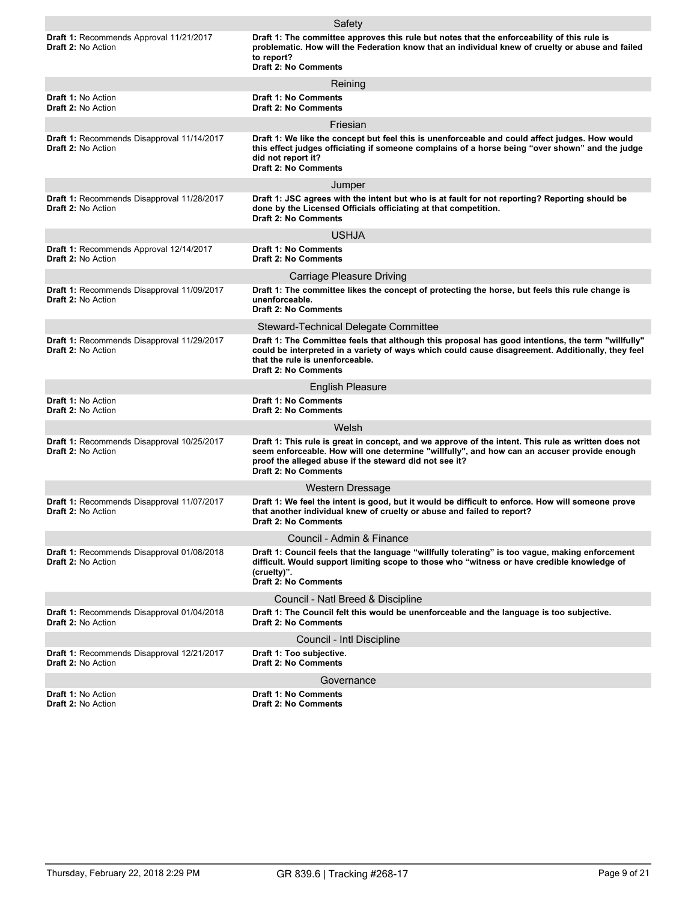|                                                                                | Safety                                                                                                                                                                                                                                                                                      |
|--------------------------------------------------------------------------------|---------------------------------------------------------------------------------------------------------------------------------------------------------------------------------------------------------------------------------------------------------------------------------------------|
| <b>Draft 1: Recommends Approval 11/21/2017</b><br><b>Draft 2: No Action</b>    | Draft 1: The committee approves this rule but notes that the enforceability of this rule is<br>problematic. How will the Federation know that an individual knew of cruelty or abuse and failed<br>to report?<br><b>Draft 2: No Comments</b>                                                |
|                                                                                | Reining                                                                                                                                                                                                                                                                                     |
| <b>Draft 1: No Action</b><br><b>Draft 2: No Action</b>                         | <b>Draft 1: No Comments</b><br><b>Draft 2: No Comments</b>                                                                                                                                                                                                                                  |
|                                                                                | Friesian                                                                                                                                                                                                                                                                                    |
| Draft 1: Recommends Disapproval 11/14/2017<br>Draft 2: No Action               | Draft 1: We like the concept but feel this is unenforceable and could affect judges. How would<br>this effect judges officiating if someone complains of a horse being "over shown" and the judge<br>did not report it?<br><b>Draft 2: No Comments</b>                                      |
|                                                                                | Jumper                                                                                                                                                                                                                                                                                      |
| <b>Draft 1: Recommends Disapproval 11/28/2017</b><br><b>Draft 2: No Action</b> | Draft 1: JSC agrees with the intent but who is at fault for not reporting? Reporting should be<br>done by the Licensed Officials officiating at that competition.<br><b>Draft 2: No Comments</b>                                                                                            |
|                                                                                | <b>USHJA</b>                                                                                                                                                                                                                                                                                |
| Draft 1: Recommends Approval 12/14/2017<br><b>Draft 2: No Action</b>           | <b>Draft 1: No Comments</b><br><b>Draft 2: No Comments</b>                                                                                                                                                                                                                                  |
|                                                                                | <b>Carriage Pleasure Driving</b>                                                                                                                                                                                                                                                            |
| Draft 1: Recommends Disapproval 11/09/2017<br><b>Draft 2: No Action</b>        | Draft 1: The committee likes the concept of protecting the horse, but feels this rule change is<br>unenforceable.<br><b>Draft 2: No Comments</b>                                                                                                                                            |
|                                                                                | Steward-Technical Delegate Committee                                                                                                                                                                                                                                                        |
| Draft 1: Recommends Disapproval 11/29/2017<br>Draft 2: No Action               | Draft 1: The Committee feels that although this proposal has good intentions, the term "willfully"<br>could be interpreted in a variety of ways which could cause disagreement. Additionally, they feel<br>that the rule is unenforceable.<br><b>Draft 2: No Comments</b>                   |
|                                                                                | <b>English Pleasure</b>                                                                                                                                                                                                                                                                     |
| <b>Draft 1: No Action</b><br><b>Draft 2: No Action</b>                         | <b>Draft 1: No Comments</b><br><b>Draft 2: No Comments</b>                                                                                                                                                                                                                                  |
|                                                                                | Welsh                                                                                                                                                                                                                                                                                       |
| Draft 1: Recommends Disapproval 10/25/2017<br><b>Draft 2: No Action</b>        | Draft 1: This rule is great in concept, and we approve of the intent. This rule as written does not<br>seem enforceable. How will one determine "willfully", and how can an accuser provide enough<br>proof the alleged abuse if the steward did not see it?<br><b>Draft 2: No Comments</b> |
|                                                                                | Western Dressage                                                                                                                                                                                                                                                                            |
| Draft 1: Recommends Disapproval 11/07/2017<br><b>Draft 2: No Action</b>        | Draft 1: We feel the intent is good, but it would be difficult to enforce. How will someone prove<br>that another individual knew of cruelty or abuse and failed to report?<br><b>Draft 2: No Comments</b>                                                                                  |
|                                                                                | Council - Admin & Finance                                                                                                                                                                                                                                                                   |
| Draft 1: Recommends Disapproval 01/08/2018<br>Draft 2: No Action               | Draft 1: Council feels that the language "willfully tolerating" is too vague, making enforcement<br>difficult. Would support limiting scope to those who "witness or have credible knowledge of<br>(cruelty)".<br><b>Draft 2: No Comments</b>                                               |
|                                                                                | Council - Natl Breed & Discipline                                                                                                                                                                                                                                                           |
| Draft 1: Recommends Disapproval 01/04/2018<br><b>Draft 2: No Action</b>        | Draft 1: The Council felt this would be unenforceable and the language is too subjective.<br><b>Draft 2: No Comments</b>                                                                                                                                                                    |
|                                                                                | Council - Intl Discipline                                                                                                                                                                                                                                                                   |
| Draft 1: Recommends Disapproval 12/21/2017<br><b>Draft 2: No Action</b>        | Draft 1: Too subjective.<br><b>Draft 2: No Comments</b>                                                                                                                                                                                                                                     |
|                                                                                | Governance                                                                                                                                                                                                                                                                                  |
| Draft 1: No Action<br><b>Draft 2: No Action</b>                                | <b>Draft 1: No Comments</b><br><b>Draft 2: No Comments</b>                                                                                                                                                                                                                                  |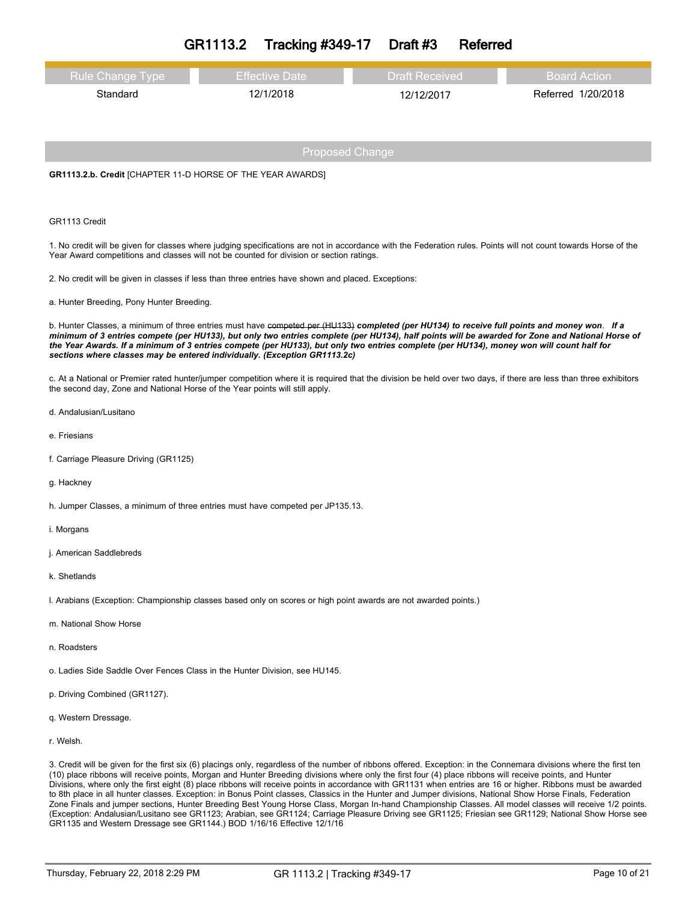| GR1113.2 | <b>Tracking #349-17</b> | Draft #3 | Referred |
|----------|-------------------------|----------|----------|
|----------|-------------------------|----------|----------|

| <b>Rule Change Type</b> | <b>Effective Date</b> | <b>Draft Received</b> | Board Action       |
|-------------------------|-----------------------|-----------------------|--------------------|
| Standard                | 12/1/2018             | 12/12/2017            | Referred 1/20/2018 |

**GR1113.2.b. Credit** [CHAPTER 11-D HORSE OF THE YEAR AWARDS]

#### GR1113 Credit

1. No credit will be given for classes where judging specifications are not in accordance with the Federation rules. Points will not count towards Horse of the Year Award competitions and classes will not be counted for division or section ratings.

2. No credit will be given in classes if less than three entries have shown and placed. Exceptions:

a. Hunter Breeding, Pony Hunter Breeding.

b. Hunter Classes, a minimum of three entries must have competed per (HU433) completed (per HU134) to receive full points and money won. If a minimum of 3 entries compete (per HU133), but only two entries complete (per HU134), half points will be awarded for Zone and National Horse of the Year Awards. If a minimum of 3 entries compete (per HU133), but only two entries complete (per HU134), money won will count half for *sections where classes may be entered individually. (Exception GR1113.2c)*

c. At a National or Premier rated hunter/jumper competition where it is required that the division be held over two days, if there are less than three exhibitors the second day, Zone and National Horse of the Year points will still apply.

- d. Andalusian/Lusitano
- e. Friesians
- f. Carriage Pleasure Driving (GR1125)
- g. Hackney

h. Jumper Classes, a minimum of three entries must have competed per JP135.13.

- i. Morgans
- j. American Saddlebreds
- k. Shetlands

l. Arabians (Exception: Championship classes based only on scores or high point awards are not awarded points.)

- m. National Show Horse
- n. Roadsters
- o. Ladies Side Saddle Over Fences Class in the Hunter Division, see HU145.
- p. Driving Combined (GR1127).
- q. Western Dressage.
- r. Welsh.

3. Credit will be given for the first six (6) placings only, regardless of the number of ribbons offered. Exception: in the Connemara divisions where the first ten (10) place ribbons will receive points, Morgan and Hunter Breeding divisions where only the first four (4) place ribbons will receive points, and Hunter Divisions, where only the first eight (8) place ribbons will receive points in accordance with GR1131 when entries are 16 or higher. Ribbons must be awarded to 8th place in all hunter classes. Exception: in Bonus Point classes, Classics in the Hunter and Jumper divisions, National Show Horse Finals, Federation Zone Finals and jumper sections, Hunter Breeding Best Young Horse Class, Morgan In-hand Championship Classes. All model classes will receive 1/2 points. (Exception: Andalusian/Lusitano see GR1123; Arabian, see GR1124; Carriage Pleasure Driving see GR1125; Friesian see GR1129; National Show Horse see GR1135 and Western Dressage see GR1144.) BOD 1/16/16 Effective 12/1/16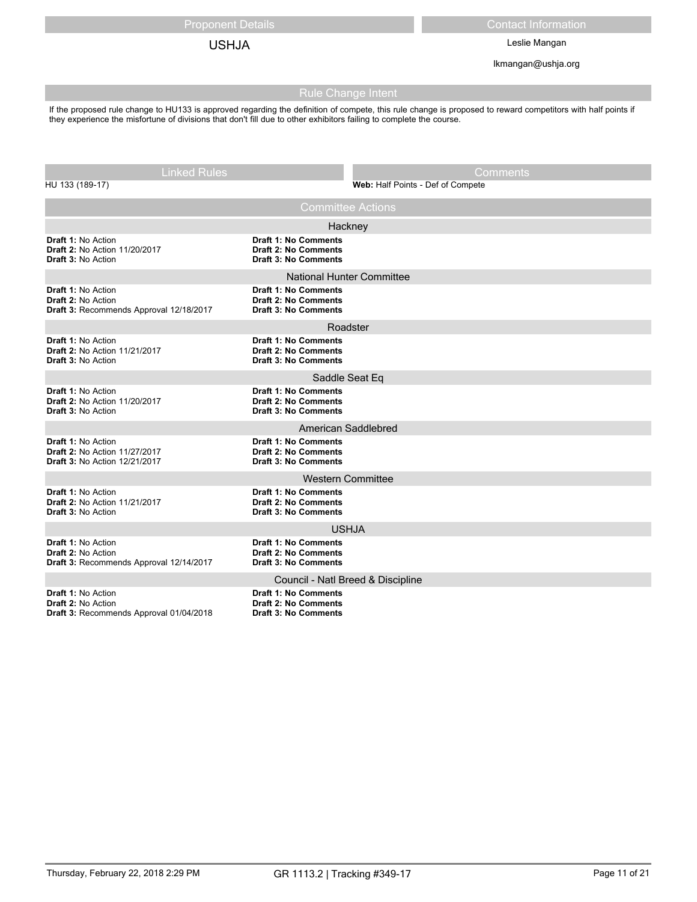Proponent Details Contact Information

USHJA Leslie Mangan

lkmangan@ushja.org

## Rule Change Intent

If the proposed rule change to HU133 is approved regarding the definition of compete, this rule change is proposed to reward competitors with half points if they experience the misfortune of divisions that don't fill due to other exhibitors failing to complete the course.

| <b>Linked Rules</b>                                                                                      |                                                                                           | Comments                          |
|----------------------------------------------------------------------------------------------------------|-------------------------------------------------------------------------------------------|-----------------------------------|
| HU 133 (189-17)                                                                                          |                                                                                           | Web: Half Points - Def of Compete |
|                                                                                                          | <b>Committee Actions</b>                                                                  |                                   |
|                                                                                                          | Hackney                                                                                   |                                   |
| <b>Draft 1: No Action</b><br><b>Draft 2: No Action 11/20/2017</b><br><b>Draft 3: No Action</b>           | <b>Draft 1: No Comments</b><br><b>Draft 2: No Comments</b><br><b>Draft 3: No Comments</b> |                                   |
|                                                                                                          | <b>National Hunter Committee</b>                                                          |                                   |
| <b>Draft 1: No Action</b><br><b>Draft 2: No Action</b><br>Draft 3: Recommends Approval 12/18/2017        | <b>Draft 1: No Comments</b><br><b>Draft 2: No Comments</b><br><b>Draft 3: No Comments</b> |                                   |
|                                                                                                          | Roadster                                                                                  |                                   |
| <b>Draft 1: No Action</b><br>Draft 2: No Action 11/21/2017<br><b>Draft 3: No Action</b>                  | <b>Draft 1: No Comments</b><br><b>Draft 2: No Comments</b><br><b>Draft 3: No Comments</b> |                                   |
|                                                                                                          | Saddle Seat Eq                                                                            |                                   |
| <b>Draft 1: No Action</b><br><b>Draft 2: No Action 11/20/2017</b><br><b>Draft 3: No Action</b>           | <b>Draft 1: No Comments</b><br><b>Draft 2: No Comments</b><br><b>Draft 3: No Comments</b> |                                   |
|                                                                                                          | American Saddlebred                                                                       |                                   |
| <b>Draft 1: No Action</b><br>Draft 2: No Action 11/27/2017<br><b>Draft 3: No Action 12/21/2017</b>       | <b>Draft 1: No Comments</b><br><b>Draft 2: No Comments</b><br><b>Draft 3: No Comments</b> |                                   |
| <b>Western Committee</b>                                                                                 |                                                                                           |                                   |
| <b>Draft 1: No Action</b><br><b>Draft 2: No Action 11/21/2017</b><br><b>Draft 3: No Action</b>           | <b>Draft 1: No Comments</b><br><b>Draft 2: No Comments</b><br><b>Draft 3: No Comments</b> |                                   |
|                                                                                                          | <b>USHJA</b>                                                                              |                                   |
| <b>Draft 1: No Action</b><br><b>Draft 2: No Action</b><br>Draft 3: Recommends Approval 12/14/2017        | <b>Draft 1: No Comments</b><br><b>Draft 2: No Comments</b><br><b>Draft 3: No Comments</b> |                                   |
|                                                                                                          | Council - Natl Breed & Discipline                                                         |                                   |
| <b>Draft 1: No Action</b><br><b>Draft 2: No Action</b><br><b>Draft 3: Recommends Approval 01/04/2018</b> | <b>Draft 1: No Comments</b><br><b>Draft 2: No Comments</b><br><b>Draft 3: No Comments</b> |                                   |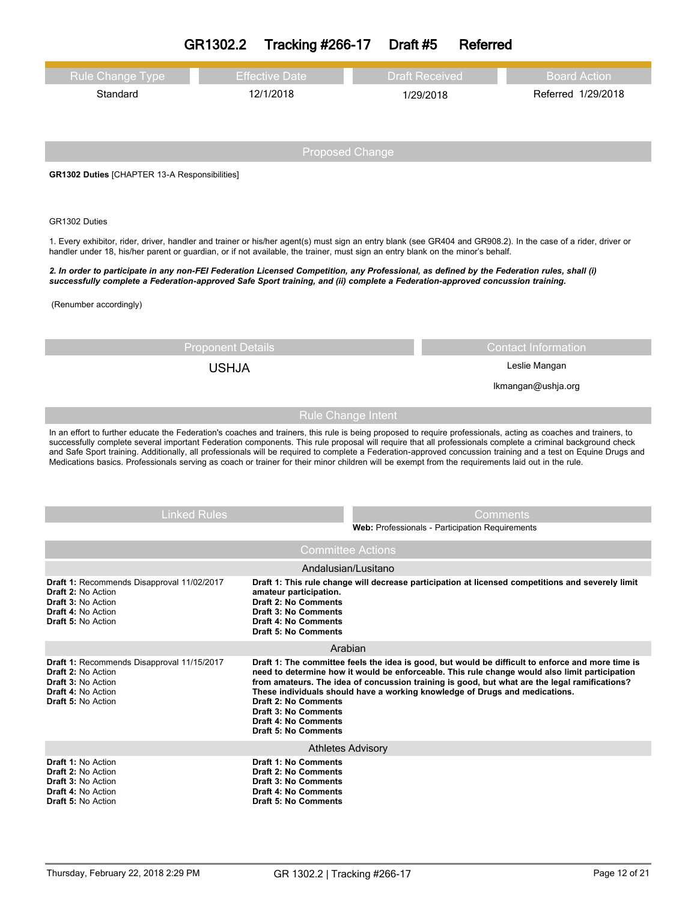|                                                                                                                                                                                                                                                                                                                                                                                                                                                                                                                                                                                                                                                      | GR1302.2<br><b>Tracking #266-17</b>                                                                                                                | Draft #5                  | Referred                                        |                                                                                                                                                                                                                                                                                                      |
|------------------------------------------------------------------------------------------------------------------------------------------------------------------------------------------------------------------------------------------------------------------------------------------------------------------------------------------------------------------------------------------------------------------------------------------------------------------------------------------------------------------------------------------------------------------------------------------------------------------------------------------------------|----------------------------------------------------------------------------------------------------------------------------------------------------|---------------------------|-------------------------------------------------|------------------------------------------------------------------------------------------------------------------------------------------------------------------------------------------------------------------------------------------------------------------------------------------------------|
| <b>Rule Change Type</b>                                                                                                                                                                                                                                                                                                                                                                                                                                                                                                                                                                                                                              | <b>Effective Date</b>                                                                                                                              |                           | <b>Draft Received</b>                           | <b>Board Action</b>                                                                                                                                                                                                                                                                                  |
| Standard                                                                                                                                                                                                                                                                                                                                                                                                                                                                                                                                                                                                                                             | 12/1/2018                                                                                                                                          |                           | 1/29/2018                                       | Referred 1/29/2018                                                                                                                                                                                                                                                                                   |
|                                                                                                                                                                                                                                                                                                                                                                                                                                                                                                                                                                                                                                                      |                                                                                                                                                    |                           |                                                 |                                                                                                                                                                                                                                                                                                      |
|                                                                                                                                                                                                                                                                                                                                                                                                                                                                                                                                                                                                                                                      |                                                                                                                                                    | <b>Proposed Change</b>    |                                                 |                                                                                                                                                                                                                                                                                                      |
| <b>GR1302 Duties</b> [CHAPTER 13-A Responsibilities]                                                                                                                                                                                                                                                                                                                                                                                                                                                                                                                                                                                                 |                                                                                                                                                    |                           |                                                 |                                                                                                                                                                                                                                                                                                      |
|                                                                                                                                                                                                                                                                                                                                                                                                                                                                                                                                                                                                                                                      |                                                                                                                                                    |                           |                                                 |                                                                                                                                                                                                                                                                                                      |
| GR1302 Duties                                                                                                                                                                                                                                                                                                                                                                                                                                                                                                                                                                                                                                        |                                                                                                                                                    |                           |                                                 |                                                                                                                                                                                                                                                                                                      |
| 1. Every exhibitor, rider, driver, handler and trainer or his/her agent(s) must sign an entry blank (see GR404 and GR908.2). In the case of a rider, driver or                                                                                                                                                                                                                                                                                                                                                                                                                                                                                       |                                                                                                                                                    |                           |                                                 |                                                                                                                                                                                                                                                                                                      |
| handler under 18, his/her parent or quardian, or if not available, the trainer, must sign an entry blank on the minor's behalf.<br>2. In order to participate in any non-FEI Federation Licensed Competition, any Professional, as defined by the Federation rules, shall (i)                                                                                                                                                                                                                                                                                                                                                                        |                                                                                                                                                    |                           |                                                 |                                                                                                                                                                                                                                                                                                      |
| successfully complete a Federation-approved Safe Sport training, and (ii) complete a Federation-approved concussion training.                                                                                                                                                                                                                                                                                                                                                                                                                                                                                                                        |                                                                                                                                                    |                           |                                                 |                                                                                                                                                                                                                                                                                                      |
| (Renumber accordingly)                                                                                                                                                                                                                                                                                                                                                                                                                                                                                                                                                                                                                               |                                                                                                                                                    |                           |                                                 |                                                                                                                                                                                                                                                                                                      |
|                                                                                                                                                                                                                                                                                                                                                                                                                                                                                                                                                                                                                                                      |                                                                                                                                                    |                           |                                                 |                                                                                                                                                                                                                                                                                                      |
| <b>Proponent Details</b>                                                                                                                                                                                                                                                                                                                                                                                                                                                                                                                                                                                                                             |                                                                                                                                                    |                           | <b>Contact Information</b>                      |                                                                                                                                                                                                                                                                                                      |
| <b>USHJA</b>                                                                                                                                                                                                                                                                                                                                                                                                                                                                                                                                                                                                                                         |                                                                                                                                                    |                           | Leslie Mangan                                   |                                                                                                                                                                                                                                                                                                      |
|                                                                                                                                                                                                                                                                                                                                                                                                                                                                                                                                                                                                                                                      |                                                                                                                                                    |                           | Ikmangan@ushja.org                              |                                                                                                                                                                                                                                                                                                      |
|                                                                                                                                                                                                                                                                                                                                                                                                                                                                                                                                                                                                                                                      |                                                                                                                                                    | <b>Rule Change Intent</b> |                                                 |                                                                                                                                                                                                                                                                                                      |
| In an effort to further educate the Federation's coaches and trainers, this rule is being proposed to require professionals, acting as coaches and trainers, to<br>successfully complete several important Federation components. This rule proposal will require that all professionals complete a criminal background check<br>and Safe Sport training. Additionally, all professionals will be required to complete a Federation-approved concussion training and a test on Equine Drugs and<br>Medications basics. Professionals serving as coach or trainer for their minor children will be exempt from the requirements laid out in the rule. |                                                                                                                                                    |                           |                                                 |                                                                                                                                                                                                                                                                                                      |
| <b>Linked Rules</b>                                                                                                                                                                                                                                                                                                                                                                                                                                                                                                                                                                                                                                  |                                                                                                                                                    |                           |                                                 | Comments                                                                                                                                                                                                                                                                                             |
|                                                                                                                                                                                                                                                                                                                                                                                                                                                                                                                                                                                                                                                      |                                                                                                                                                    |                           | Web: Professionals - Participation Requirements |                                                                                                                                                                                                                                                                                                      |
| <b>Committee Actions</b>                                                                                                                                                                                                                                                                                                                                                                                                                                                                                                                                                                                                                             |                                                                                                                                                    |                           |                                                 |                                                                                                                                                                                                                                                                                                      |
|                                                                                                                                                                                                                                                                                                                                                                                                                                                                                                                                                                                                                                                      |                                                                                                                                                    | Andalusian/Lusitano       |                                                 |                                                                                                                                                                                                                                                                                                      |
| Draft 1: Recommends Disapproval 11/02/2017<br><b>Draft 2: No Action</b><br><b>Draft 3: No Action</b><br><b>Draft 4: No Action</b><br><b>Draft 5: No Action</b>                                                                                                                                                                                                                                                                                                                                                                                                                                                                                       | amateur participation.<br><b>Draft 2: No Comments</b><br><b>Draft 3: No Comments</b><br><b>Draft 4: No Comments</b><br><b>Draft 5: No Comments</b> |                           |                                                 | Draft 1: This rule change will decrease participation at licensed competitions and severely limit                                                                                                                                                                                                    |
|                                                                                                                                                                                                                                                                                                                                                                                                                                                                                                                                                                                                                                                      |                                                                                                                                                    | Arabian                   |                                                 |                                                                                                                                                                                                                                                                                                      |
| Draft 1: Recommends Disapproval 11/15/2017<br>Draft 2: No Action<br><b>Draft 3: No Action</b>                                                                                                                                                                                                                                                                                                                                                                                                                                                                                                                                                        |                                                                                                                                                    |                           |                                                 | Draft 1: The committee feels the idea is good, but would be difficult to enforce and more time is<br>need to determine how it would be enforceable. This rule change would also limit participation<br>from amateurs. The idea of concussion training is good, but what are the legal ramifications? |

**Draft 1:** No Action **Draft 2:** No Action **Draft 3:** No Action **Draft 4:** No Action **Draft 5:** No Action

Athletes Advisory

**Draft 2: No Comments Draft 3: No Comments Draft 4: No Comments Draft 5: No Comments**

**Draft 1: No Comments Draft 2: No Comments Draft 3: No Comments Draft 4: No Comments Draft 5: No Comments**

**These individuals should have a working knowledge of Drugs and medications.**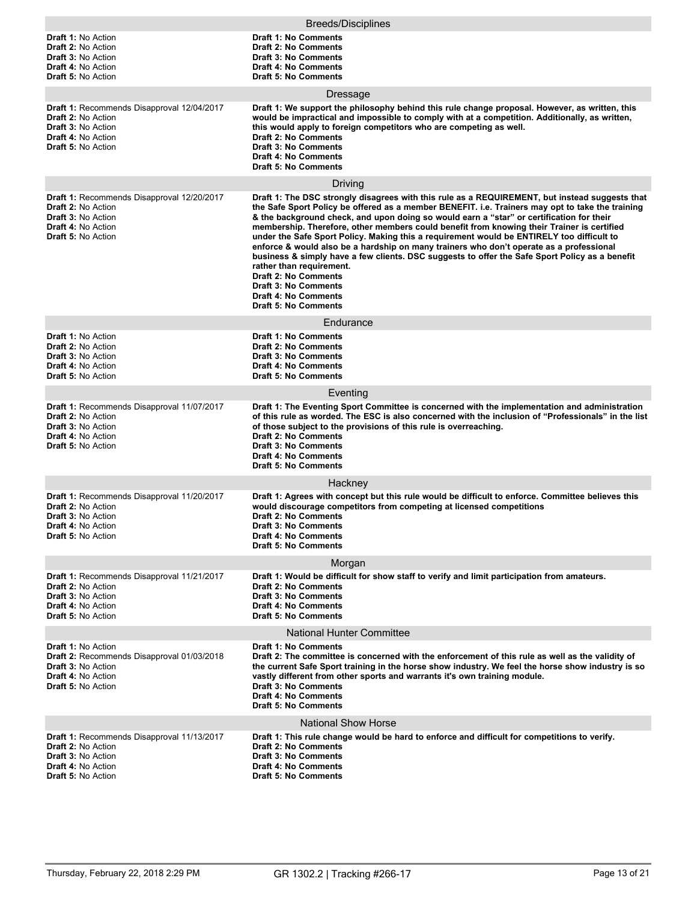| <b>Breeds/Disciplines</b>                                                                                                                                             |                                                                                                                                                                                                                                                                                                                                                                                                                                                                                                                                                                                                                                                                                                                                                                                                                                                |  |
|-----------------------------------------------------------------------------------------------------------------------------------------------------------------------|------------------------------------------------------------------------------------------------------------------------------------------------------------------------------------------------------------------------------------------------------------------------------------------------------------------------------------------------------------------------------------------------------------------------------------------------------------------------------------------------------------------------------------------------------------------------------------------------------------------------------------------------------------------------------------------------------------------------------------------------------------------------------------------------------------------------------------------------|--|
| <b>Draft 1: No Action</b><br>Draft 2: No Action<br><b>Draft 3: No Action</b><br><b>Draft 4: No Action</b><br><b>Draft 5: No Action</b>                                | Draft 1: No Comments<br><b>Draft 2: No Comments</b><br><b>Draft 3: No Comments</b><br><b>Draft 4: No Comments</b><br><b>Draft 5: No Comments</b>                                                                                                                                                                                                                                                                                                                                                                                                                                                                                                                                                                                                                                                                                               |  |
|                                                                                                                                                                       | Dressage                                                                                                                                                                                                                                                                                                                                                                                                                                                                                                                                                                                                                                                                                                                                                                                                                                       |  |
| <b>Draft 1:</b> Recommends Disapproval 12/04/2017<br><b>Draft 2: No Action</b><br><b>Draft 3: No Action</b><br><b>Draft 4: No Action</b><br><b>Draft 5: No Action</b> | Draft 1: We support the philosophy behind this rule change proposal. However, as written, this<br>would be impractical and impossible to comply with at a competition. Additionally, as written,<br>this would apply to foreign competitors who are competing as well.<br><b>Draft 2: No Comments</b><br><b>Draft 3: No Comments</b><br><b>Draft 4: No Comments</b><br><b>Draft 5: No Comments</b>                                                                                                                                                                                                                                                                                                                                                                                                                                             |  |
|                                                                                                                                                                       | Driving                                                                                                                                                                                                                                                                                                                                                                                                                                                                                                                                                                                                                                                                                                                                                                                                                                        |  |
| <b>Draft 1: Recommends Disapproval 12/20/2017</b><br><b>Draft 2: No Action</b><br><b>Draft 3: No Action</b><br><b>Draft 4: No Action</b><br><b>Draft 5: No Action</b> | Draft 1: The DSC strongly disagrees with this rule as a REQUIREMENT, but instead suggests that<br>the Safe Sport Policy be offered as a member BENEFIT. i.e. Trainers may opt to take the training<br>& the background check, and upon doing so would earn a "star" or certification for their<br>membership. Therefore, other members could benefit from knowing their Trainer is certified<br>under the Safe Sport Policy. Making this a requirement would be ENTIRELY too difficult to<br>enforce & would also be a hardship on many trainers who don't operate as a professional<br>business & simply have a few clients. DSC suggests to offer the Safe Sport Policy as a benefit<br>rather than requirement.<br><b>Draft 2: No Comments</b><br><b>Draft 3: No Comments</b><br><b>Draft 4: No Comments</b><br><b>Draft 5: No Comments</b> |  |
|                                                                                                                                                                       | Endurance                                                                                                                                                                                                                                                                                                                                                                                                                                                                                                                                                                                                                                                                                                                                                                                                                                      |  |
| <b>Draft 1: No Action</b><br><b>Draft 2: No Action</b><br><b>Draft 3: No Action</b><br><b>Draft 4: No Action</b><br><b>Draft 5: No Action</b>                         | <b>Draft 1: No Comments</b><br><b>Draft 2: No Comments</b><br><b>Draft 3: No Comments</b><br><b>Draft 4: No Comments</b><br><b>Draft 5: No Comments</b>                                                                                                                                                                                                                                                                                                                                                                                                                                                                                                                                                                                                                                                                                        |  |
|                                                                                                                                                                       | Eventing                                                                                                                                                                                                                                                                                                                                                                                                                                                                                                                                                                                                                                                                                                                                                                                                                                       |  |
| Draft 1: Recommends Disapproval 11/07/2017<br><b>Draft 2: No Action</b><br><b>Draft 3: No Action</b><br><b>Draft 4: No Action</b><br><b>Draft 5: No Action</b>        | Draft 1: The Eventing Sport Committee is concerned with the implementation and administration<br>of this rule as worded. The ESC is also concerned with the inclusion of "Professionals" in the list<br>of those subject to the provisions of this rule is overreaching.<br><b>Draft 2: No Comments</b><br><b>Draft 3: No Comments</b><br><b>Draft 4: No Comments</b><br><b>Draft 5: No Comments</b>                                                                                                                                                                                                                                                                                                                                                                                                                                           |  |
|                                                                                                                                                                       | Hackney                                                                                                                                                                                                                                                                                                                                                                                                                                                                                                                                                                                                                                                                                                                                                                                                                                        |  |
| Draft 1: Recommends Disapproval 11/20/2017<br><b>Draft 2: No Action</b><br><b>Draft 3: No Action</b><br>Draft 4: No Action<br><b>Draft 5: No Action</b>               | Draft 1: Agrees with concept but this rule would be difficult to enforce. Committee believes this<br>would discourage competitors from competing at licensed competitions<br><b>Draft 2: No Comments</b><br>Draft 3: No Comments<br><b>Draft 4: No Comments</b><br><b>Draft 5: No Comments</b>                                                                                                                                                                                                                                                                                                                                                                                                                                                                                                                                                 |  |
| Morgan                                                                                                                                                                |                                                                                                                                                                                                                                                                                                                                                                                                                                                                                                                                                                                                                                                                                                                                                                                                                                                |  |
| <b>Draft 1: Recommends Disapproval 11/21/2017</b><br><b>Draft 2: No Action</b><br><b>Draft 3: No Action</b><br><b>Draft 4: No Action</b><br><b>Draft 5: No Action</b> | Draft 1: Would be difficult for show staff to verify and limit participation from amateurs.<br><b>Draft 2: No Comments</b><br><b>Draft 3: No Comments</b><br><b>Draft 4: No Comments</b><br>Draft 5: No Comments                                                                                                                                                                                                                                                                                                                                                                                                                                                                                                                                                                                                                               |  |
| <b>National Hunter Committee</b>                                                                                                                                      |                                                                                                                                                                                                                                                                                                                                                                                                                                                                                                                                                                                                                                                                                                                                                                                                                                                |  |
| <b>Draft 1: No Action</b><br>Draft 2: Recommends Disapproval 01/03/2018<br><b>Draft 3: No Action</b><br>Draft 4: No Action<br><b>Draft 5: No Action</b>               | Draft 1: No Comments<br>Draft 2: The committee is concerned with the enforcement of this rule as well as the validity of<br>the current Safe Sport training in the horse show industry. We feel the horse show industry is so<br>vastly different from other sports and warrants it's own training module.<br><b>Draft 3: No Comments</b><br>Draft 4: No Comments<br><b>Draft 5: No Comments</b>                                                                                                                                                                                                                                                                                                                                                                                                                                               |  |
|                                                                                                                                                                       | <b>National Show Horse</b>                                                                                                                                                                                                                                                                                                                                                                                                                                                                                                                                                                                                                                                                                                                                                                                                                     |  |
| Draft 1: Recommends Disapproval 11/13/2017<br><b>Draft 2: No Action</b><br><b>Draft 3: No Action</b><br>Draft 4: No Action<br><b>Draft 5: No Action</b>               | Draft 1: This rule change would be hard to enforce and difficult for competitions to verify.<br><b>Draft 2: No Comments</b><br><b>Draft 3: No Comments</b><br>Draft 4: No Comments<br><b>Draft 5: No Comments</b>                                                                                                                                                                                                                                                                                                                                                                                                                                                                                                                                                                                                                              |  |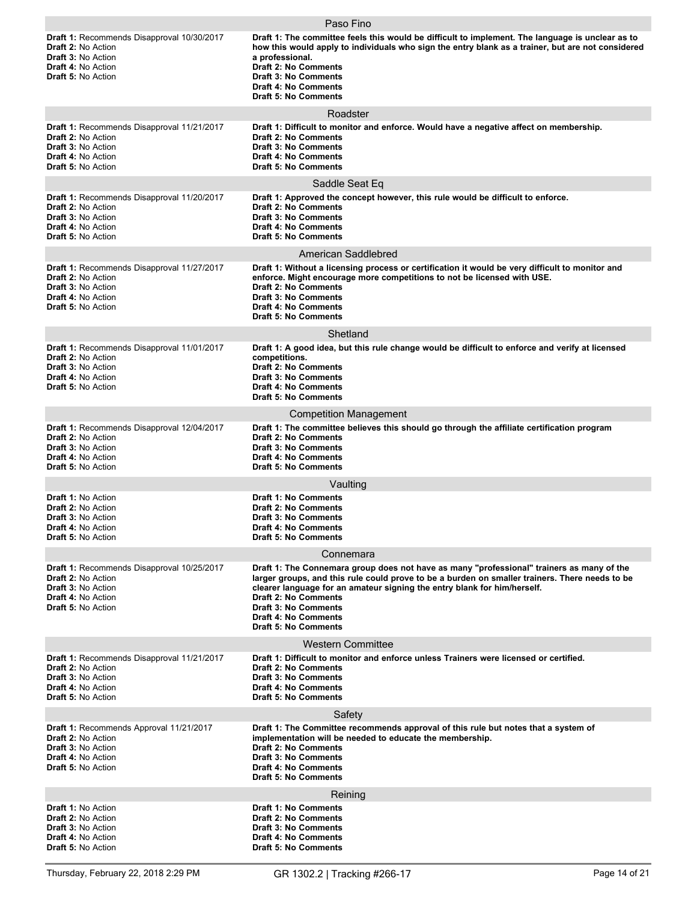|                                                                                                                                                                | Paso Fino                                                                                                                                                                                                                                                                                                                                                                                           |
|----------------------------------------------------------------------------------------------------------------------------------------------------------------|-----------------------------------------------------------------------------------------------------------------------------------------------------------------------------------------------------------------------------------------------------------------------------------------------------------------------------------------------------------------------------------------------------|
| Draft 1: Recommends Disapproval 10/30/2017<br><b>Draft 2: No Action</b><br><b>Draft 3: No Action</b><br><b>Draft 4: No Action</b><br><b>Draft 5: No Action</b> | Draft 1: The committee feels this would be difficult to implement. The language is unclear as to<br>how this would apply to individuals who sign the entry blank as a trainer, but are not considered<br>a professional.<br><b>Draft 2: No Comments</b><br><b>Draft 3: No Comments</b><br><b>Draft 4: No Comments</b><br><b>Draft 5: No Comments</b>                                                |
|                                                                                                                                                                | Roadster                                                                                                                                                                                                                                                                                                                                                                                            |
| Draft 1: Recommends Disapproval 11/21/2017<br><b>Draft 2: No Action</b><br><b>Draft 3: No Action</b><br><b>Draft 4: No Action</b><br><b>Draft 5: No Action</b> | Draft 1: Difficult to monitor and enforce. Would have a negative affect on membership.<br><b>Draft 2: No Comments</b><br><b>Draft 3: No Comments</b><br><b>Draft 4: No Comments</b><br><b>Draft 5: No Comments</b>                                                                                                                                                                                  |
|                                                                                                                                                                | Saddle Seat Eq                                                                                                                                                                                                                                                                                                                                                                                      |
| Draft 1: Recommends Disapproval 11/20/2017<br><b>Draft 2: No Action</b><br>Draft 3: No Action<br><b>Draft 4: No Action</b><br><b>Draft 5: No Action</b>        | Draft 1: Approved the concept however, this rule would be difficult to enforce.<br><b>Draft 2: No Comments</b><br><b>Draft 3: No Comments</b><br><b>Draft 4: No Comments</b><br><b>Draft 5: No Comments</b>                                                                                                                                                                                         |
|                                                                                                                                                                | American Saddlebred                                                                                                                                                                                                                                                                                                                                                                                 |
| Draft 1: Recommends Disapproval 11/27/2017<br><b>Draft 2: No Action</b><br><b>Draft 3: No Action</b><br><b>Draft 4: No Action</b><br><b>Draft 5: No Action</b> | Draft 1: Without a licensing process or certification it would be very difficult to monitor and<br>enforce. Might encourage more competitions to not be licensed with USE.<br><b>Draft 2: No Comments</b><br><b>Draft 3: No Comments</b><br><b>Draft 4: No Comments</b><br><b>Draft 5: No Comments</b>                                                                                              |
|                                                                                                                                                                | Shetland                                                                                                                                                                                                                                                                                                                                                                                            |
| Draft 1: Recommends Disapproval 11/01/2017<br><b>Draft 2: No Action</b><br><b>Draft 3: No Action</b><br><b>Draft 4: No Action</b><br><b>Draft 5: No Action</b> | Draft 1: A good idea, but this rule change would be difficult to enforce and verify at licensed<br>competitions.<br><b>Draft 2: No Comments</b><br><b>Draft 3: No Comments</b><br><b>Draft 4: No Comments</b><br><b>Draft 5: No Comments</b>                                                                                                                                                        |
|                                                                                                                                                                | <b>Competition Management</b>                                                                                                                                                                                                                                                                                                                                                                       |
| Draft 1: Recommends Disapproval 12/04/2017<br><b>Draft 2: No Action</b><br><b>Draft 3: No Action</b><br><b>Draft 4: No Action</b><br><b>Draft 5: No Action</b> | Draft 1: The committee believes this should go through the affiliate certification program<br><b>Draft 2: No Comments</b><br><b>Draft 3: No Comments</b><br><b>Draft 4: No Comments</b><br><b>Draft 5: No Comments</b>                                                                                                                                                                              |
|                                                                                                                                                                | Vaulting                                                                                                                                                                                                                                                                                                                                                                                            |
| <b>Draft 1: No Action</b><br><b>Draft 2: No Action</b><br><b>Draft 3: No Action</b><br><b>Draft 4: No Action</b><br><b>Draft 5: No Action</b>                  | <b>Draft 1: No Comments</b><br><b>Draft 2: No Comments</b><br><b>Draft 3: No Comments</b><br>Draft 4: No Comments<br><b>Draft 5: No Comments</b>                                                                                                                                                                                                                                                    |
|                                                                                                                                                                | Connemara                                                                                                                                                                                                                                                                                                                                                                                           |
| Draft 1: Recommends Disapproval 10/25/2017<br>Draft 2: No Action<br><b>Draft 3: No Action</b><br><b>Draft 4: No Action</b><br><b>Draft 5: No Action</b>        | Draft 1: The Connemara group does not have as many "professional" trainers as many of the<br>larger groups, and this rule could prove to be a burden on smaller trainers. There needs to be<br>clearer language for an amateur signing the entry blank for him/herself.<br><b>Draft 2: No Comments</b><br><b>Draft 3: No Comments</b><br><b>Draft 4: No Comments</b><br><b>Draft 5: No Comments</b> |
|                                                                                                                                                                | <b>Western Committee</b>                                                                                                                                                                                                                                                                                                                                                                            |
| Draft 1: Recommends Disapproval 11/21/2017<br><b>Draft 2: No Action</b><br><b>Draft 3: No Action</b><br><b>Draft 4: No Action</b><br><b>Draft 5: No Action</b> | Draft 1: Difficult to monitor and enforce unless Trainers were licensed or certified.<br><b>Draft 2: No Comments</b><br><b>Draft 3: No Comments</b><br><b>Draft 4: No Comments</b><br><b>Draft 5: No Comments</b>                                                                                                                                                                                   |
|                                                                                                                                                                | Safety                                                                                                                                                                                                                                                                                                                                                                                              |
| Draft 1: Recommends Approval 11/21/2017<br><b>Draft 2: No Action</b><br><b>Draft 3: No Action</b><br><b>Draft 4: No Action</b><br><b>Draft 5: No Action</b>    | Draft 1: The Committee recommends approval of this rule but notes that a system of<br>implementation will be needed to educate the membership.<br><b>Draft 2: No Comments</b><br><b>Draft 3: No Comments</b><br><b>Draft 4: No Comments</b><br><b>Draft 5: No Comments</b>                                                                                                                          |
|                                                                                                                                                                | Reining                                                                                                                                                                                                                                                                                                                                                                                             |
| <b>Draft 1: No Action</b><br>Draft 2: No Action<br><b>Draft 3: No Action</b><br>Draft 4: No Action<br><b>Draft 5: No Action</b>                                | <b>Draft 1: No Comments</b><br><b>Draft 2: No Comments</b><br><b>Draft 3: No Comments</b><br><b>Draft 4: No Comments</b><br><b>Draft 5: No Comments</b>                                                                                                                                                                                                                                             |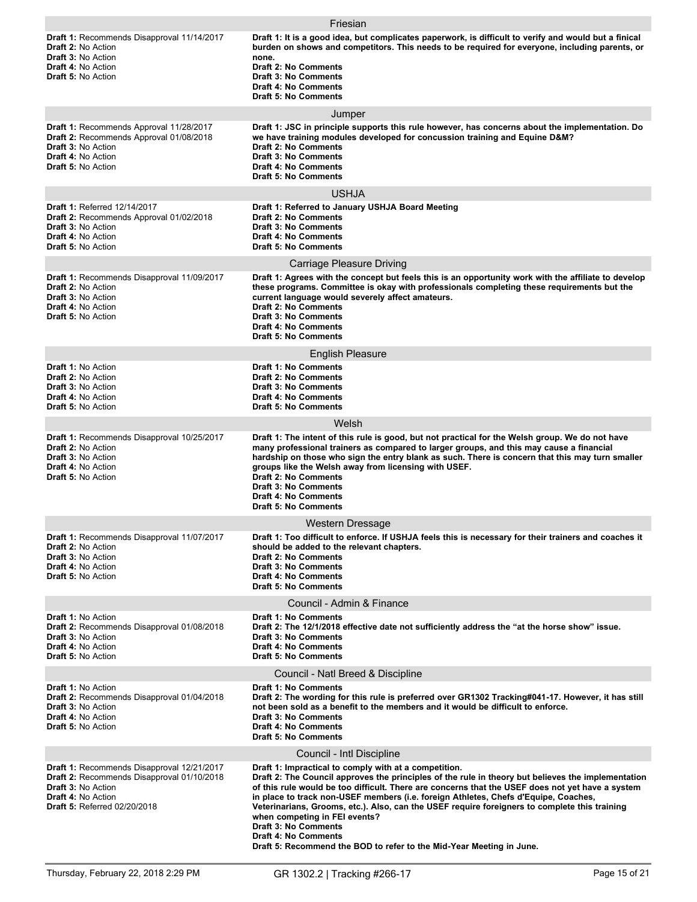|                                                                                                                                                                       | Friesian                                                                                                                                                                                                                                                                                                                                                                                                                                                                                                                                                                                                                       |
|-----------------------------------------------------------------------------------------------------------------------------------------------------------------------|--------------------------------------------------------------------------------------------------------------------------------------------------------------------------------------------------------------------------------------------------------------------------------------------------------------------------------------------------------------------------------------------------------------------------------------------------------------------------------------------------------------------------------------------------------------------------------------------------------------------------------|
| Draft 1: Recommends Disapproval 11/14/2017<br><b>Draft 2: No Action</b><br><b>Draft 3: No Action</b><br><b>Draft 4: No Action</b><br><b>Draft 5: No Action</b>        | Draft 1: It is a good idea, but complicates paperwork, is difficult to verify and would but a finical<br>burden on shows and competitors. This needs to be required for everyone, including parents, or<br>none.<br><b>Draft 2: No Comments</b><br><b>Draft 3: No Comments</b><br><b>Draft 4: No Comments</b><br><b>Draft 5: No Comments</b>                                                                                                                                                                                                                                                                                   |
|                                                                                                                                                                       | Jumper                                                                                                                                                                                                                                                                                                                                                                                                                                                                                                                                                                                                                         |
| Draft 1: Recommends Approval 11/28/2017<br>Draft 2: Recommends Approval 01/08/2018<br>Draft 3: No Action<br>Draft 4: No Action<br><b>Draft 5: No Action</b>           | Draft 1: JSC in principle supports this rule however, has concerns about the implementation. Do<br>we have training modules developed for concussion training and Equine D&M?<br><b>Draft 2: No Comments</b><br><b>Draft 3: No Comments</b><br><b>Draft 4: No Comments</b><br><b>Draft 5: No Comments</b>                                                                                                                                                                                                                                                                                                                      |
|                                                                                                                                                                       | <b>USHJA</b>                                                                                                                                                                                                                                                                                                                                                                                                                                                                                                                                                                                                                   |
| Draft 1: Referred 12/14/2017<br><b>Draft 2: Recommends Approval 01/02/2018</b><br><b>Draft 3: No Action</b><br><b>Draft 4: No Action</b><br><b>Draft 5: No Action</b> | Draft 1: Referred to January USHJA Board Meeting<br><b>Draft 2: No Comments</b><br><b>Draft 3: No Comments</b><br><b>Draft 4: No Comments</b><br><b>Draft 5: No Comments</b>                                                                                                                                                                                                                                                                                                                                                                                                                                                   |
|                                                                                                                                                                       | <b>Carriage Pleasure Driving</b>                                                                                                                                                                                                                                                                                                                                                                                                                                                                                                                                                                                               |
| Draft 1: Recommends Disapproval 11/09/2017<br><b>Draft 2: No Action</b><br><b>Draft 3: No Action</b><br><b>Draft 4: No Action</b><br><b>Draft 5: No Action</b>        | Draft 1: Agrees with the concept but feels this is an opportunity work with the affiliate to develop<br>these programs. Committee is okay with professionals completing these requirements but the<br>current language would severely affect amateurs.<br><b>Draft 2: No Comments</b><br><b>Draft 3: No Comments</b><br><b>Draft 4: No Comments</b><br><b>Draft 5: No Comments</b>                                                                                                                                                                                                                                             |
|                                                                                                                                                                       | <b>English Pleasure</b>                                                                                                                                                                                                                                                                                                                                                                                                                                                                                                                                                                                                        |
| <b>Draft 1: No Action</b><br><b>Draft 2: No Action</b><br><b>Draft 3: No Action</b><br><b>Draft 4: No Action</b><br><b>Draft 5: No Action</b>                         | <b>Draft 1: No Comments</b><br><b>Draft 2: No Comments</b><br><b>Draft 3: No Comments</b><br><b>Draft 4: No Comments</b><br><b>Draft 5: No Comments</b>                                                                                                                                                                                                                                                                                                                                                                                                                                                                        |
|                                                                                                                                                                       | Welsh                                                                                                                                                                                                                                                                                                                                                                                                                                                                                                                                                                                                                          |
| Draft 1: Recommends Disapproval 10/25/2017<br><b>Draft 2: No Action</b><br><b>Draft 3: No Action</b><br><b>Draft 4: No Action</b><br><b>Draft 5: No Action</b>        | Draft 1: The intent of this rule is good, but not practical for the Welsh group. We do not have<br>many professional trainers as compared to larger groups, and this may cause a financial<br>hardship on those who sign the entry blank as such. There is concern that this may turn smaller<br>groups like the Welsh away from licensing with USEF.<br><b>Draft 2: No Comments</b><br><b>Draft 3: No Comments</b><br><b>Draft 4: No Comments</b><br><b>Draft 5: No Comments</b>                                                                                                                                              |
|                                                                                                                                                                       | Western Dressage                                                                                                                                                                                                                                                                                                                                                                                                                                                                                                                                                                                                               |
| Draft 1: Recommends Disapproval 11/07/2017<br><b>Draft 2: No Action</b><br>Draft 3: No Action<br><b>Draft 4: No Action</b><br><b>Draft 5: No Action</b>               | Draft 1: Too difficult to enforce. If USHJA feels this is necessary for their trainers and coaches it<br>should be added to the relevant chapters.<br><b>Draft 2: No Comments</b><br><b>Draft 3: No Comments</b><br><b>Draft 4: No Comments</b><br><b>Draft 5: No Comments</b>                                                                                                                                                                                                                                                                                                                                                 |
|                                                                                                                                                                       | Council - Admin & Finance                                                                                                                                                                                                                                                                                                                                                                                                                                                                                                                                                                                                      |
| Draft 1: No Action<br>Draft 2: Recommends Disapproval 01/08/2018<br><b>Draft 3: No Action</b><br>Draft 4: No Action<br>Draft 5: No Action                             | <b>Draft 1: No Comments</b><br>Draft 2: The 12/1/2018 effective date not sufficiently address the "at the horse show" issue.<br><b>Draft 3: No Comments</b><br><b>Draft 4: No Comments</b><br><b>Draft 5: No Comments</b>                                                                                                                                                                                                                                                                                                                                                                                                      |
|                                                                                                                                                                       | Council - Natl Breed & Discipline                                                                                                                                                                                                                                                                                                                                                                                                                                                                                                                                                                                              |
| Draft 1: No Action<br>Draft 2: Recommends Disapproval 01/04/2018<br>Draft 3: No Action<br>Draft 4: No Action<br><b>Draft 5: No Action</b>                             | <b>Draft 1: No Comments</b><br>Draft 2: The wording for this rule is preferred over GR1302 Tracking#041-17. However, it has still<br>not been sold as a benefit to the members and it would be difficult to enforce.<br><b>Draft 3: No Comments</b><br><b>Draft 4: No Comments</b><br><b>Draft 5: No Comments</b>                                                                                                                                                                                                                                                                                                              |
|                                                                                                                                                                       | Council - Intl Discipline                                                                                                                                                                                                                                                                                                                                                                                                                                                                                                                                                                                                      |
| Draft 1: Recommends Disapproval 12/21/2017<br>Draft 2: Recommends Disapproval 01/10/2018<br>Draft 3: No Action<br>Draft 4: No Action<br>Draft 5: Referred 02/20/2018  | Draft 1: Impractical to comply with at a competition.<br>Draft 2: The Council approves the principles of the rule in theory but believes the implementation<br>of this rule would be too difficult. There are concerns that the USEF does not yet have a system<br>in place to track non-USEF members (i.e. foreign Athletes, Chefs d'Equipe, Coaches,<br>Veterinarians, Grooms, etc.). Also, can the USEF require foreigners to complete this training<br>when competing in FEI events?<br><b>Draft 3: No Comments</b><br><b>Draft 4: No Comments</b><br>Draft 5: Recommend the BOD to refer to the Mid-Year Meeting in June. |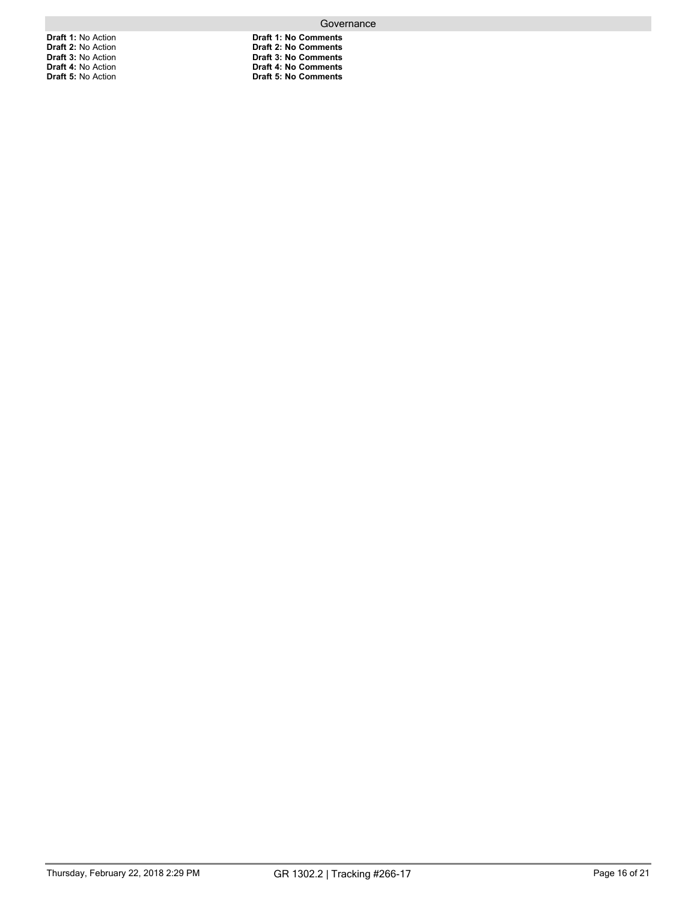**Draft 1:** No Action **Draft 2:** No Action **Draft 3:** No Action **Draft 4:** No Action **Draft 5:** No Action

**Draft 1: No Comments Draft 2: No Comments Draft 3: No Comments Draft 4: No Comments Draft 5: No Comments**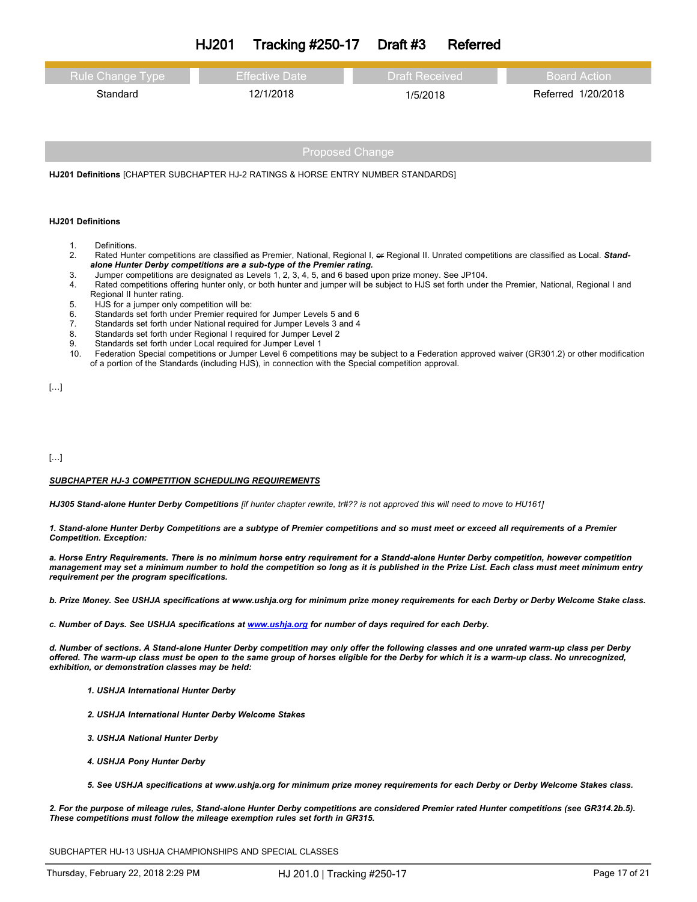| <b>Tracking #250-17</b><br><b>HJ201</b><br>Draft #3 | Referred |
|-----------------------------------------------------|----------|
|-----------------------------------------------------|----------|

| Rule Change Type | <b>Effective Date</b> | <b>Draft Received</b> | Board Action       |
|------------------|-----------------------|-----------------------|--------------------|
| Standard         | 12/1/2018             | 1/5/2018              | Referred 1/20/2018 |

**HJ201 Definitions** [CHAPTER SUBCHAPTER HJ-2 RATINGS & HORSE ENTRY NUMBER STANDARDS]

### **HJ201 Definitions**

- 
- 1. Definitions.<br>2. Rated Hun Rated Hunter competitions are classified as Premier, National, Regional I, or Regional II. Unrated competitions are classified as Local. Stand*alone Hunter Derby competitions are a sub-type of the Premier rating.*
- 3. Jumper competitions are designated as Levels 1, 2, 3, 4, 5, and 6 based upon prize money. See JP104.
- 4. Rated competitions offering hunter only, or both hunter and jumper will be subject to HJS set forth under the Premier, National, Regional I and Regional II hunter rating.
- 5. HJS for a jumper only competition will be:
- 
- 6. Standards set forth under Premier required for Jumper Levels 5 and 6 7. Standards set forth under National required for Jumper Levels 3 and 4<br>8. Standards set forth under Regional I required for Jumper Level 2
- 8. Standards set forth under Regional I required for Jumper Level 2
- 9. Standards set forth under Local required for Jumper Level 1
- 10. Federation Special competitions or Jumper Level 6 competitions may be subject to a Federation approved waiver (GR301.2) or other modification of a portion of the Standards (including HJS), in connection with the Special competition approval.

[…]

[…]

### *SUBCHAPTER HJ-3 COMPETITION SCHEDULING REQUIREMENTS*

HJ305 Stand-alone Hunter Derby Competitions [if hunter chapter rewrite, tr#?? is not approved this will need to move to HU161]

1. Stand-alone Hunter Derby Competitions are a subtype of Premier competitions and so must meet or exceed all requirements of a Premier *Competition. Exception:*

a. Horse Entry Requirements. There is no minimum horse entry requirement for a Standd-alone Hunter Derby competition, however competition management may set a minimum number to hold the competition so long as it is published in the Prize List. Each class must meet minimum entry *requirement per the program specifications.*

b. Prize Money. See USHJA specifications at www.ushja.org for minimum prize money requirements for each Derby or Derby Welcome Stake class.

*c. Number of Days. See USHJA specifications at [www.ushja.org](http://www.ushja.org/) for number of days required for each Derby.*

d. Number of sections. A Stand-alone Hunter Derby competition may only offer the following classes and one unrated warm-up class per Derby offered. The warm-up class must be open to the same group of horses eligible for the Derby for which it is a warm-up class. No unrecognized, *exhibition, or demonstration classes may be held:*

- *1. USHJA International Hunter Derby*
- *2. USHJA International Hunter Derby Welcome Stakes*
- *3. USHJA National Hunter Derby*
- *4. USHJA Pony Hunter Derby*
- 5. See USHJA specifications at www.ushja.org for minimum prize money requirements for each Derby or Derby Welcome Stakes class.

2. For the purpose of mileage rules, Stand-alone Hunter Derby competitions are considered Premier rated Hunter competitions (see GR314.2b.5). *These competitions must follow the mileage exemption rules set forth in GR315.*

SUBCHAPTER HU-13 USHJA CHAMPIONSHIPS AND SPECIAL CLASSES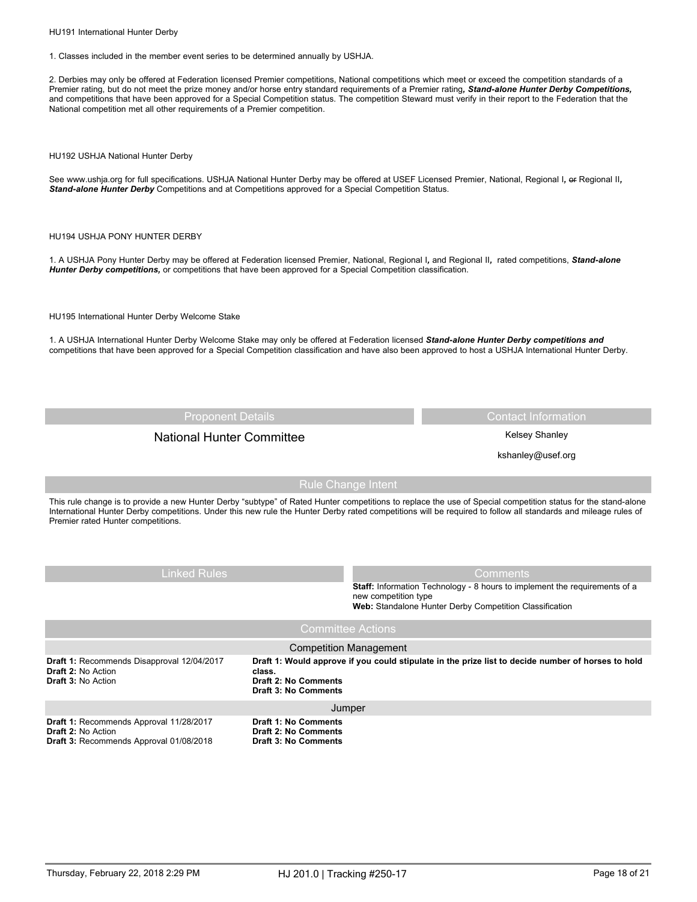HU191 International Hunter Derby

1. Classes included in the member event series to be determined annually by USHJA.

2. Derbies may only be offered at Federation licensed Premier competitions, National competitions which meet or exceed the competition standards of a Premier rating, but do not meet the prize money and/or horse entry standard requirements of a Premier rating*, Stand-alone Hunter Derby Competitions,* and competitions that have been approved for a Special Competition status. The competition Steward must verify in their report to the Federation that the National competition met all other requirements of a Premier competition.

HU192 USHJA National Hunter Derby

See www.ushja.org for full specifications. USHJA National Hunter Derby may be offered at USEF Licensed Premier, National, Regional I, er Regional II, *Stand-alone Hunter Derby* Competitions and at Competitions approved for a Special Competition Status.

### HU194 USHJA PONY HUNTER DERBY

1. A USHJA Pony Hunter Derby may be offered at Federation licensed Premier, National, Regional I*,* and Regional II*,* rated competitions, *Stand-alone Hunter Derby competitions,* or competitions that have been approved for a Special Competition classification.

HU195 International Hunter Derby Welcome Stake

1. A USHJA International Hunter Derby Welcome Stake may only be offered at Federation licensed *Stand-alone Hunter Derby competitions and* competitions that have been approved for a Special Competition classification and have also been approved to host a USHJA International Hunter Derby.

Proponent Details Contact Information Contact Information

# National Hunter Committee **Kelsey Shanley** Kelsey Shanley

kshanley@usef.org

Rule Change Intent

This rule change is to provide a new Hunter Derby "subtype" of Rated Hunter competitions to replace the use of Special competition status for the stand-alone International Hunter Derby competitions. Under this new rule the Hunter Derby rated competitions will be required to follow all standards and mileage rules of Premier rated Hunter competitions.

Linked Rules **Comments** Comments **Staff:** Information Technology - 8 hours to implement the requirements of a new competition type **Web:** Standalone Hunter Derby Competition Classification Draft 1: Would approve if you could stipulate in the prize list to decide number of horses to hold **class. Draft 2: No Comments Draft 3: No Comments Draft 1:** Recommends Disapproval 12/04/2017 **Draft 2:** No Action **Draft 3:** No Action Competition Management **Draft 1: No Comments Draft 2: No Comments Draft 3: No Comments Draft 1:** Recommends Approval 11/28/2017 **Draft 2:** No Action **Draft 3:** Recommends Approval 01/08/2018 Jumper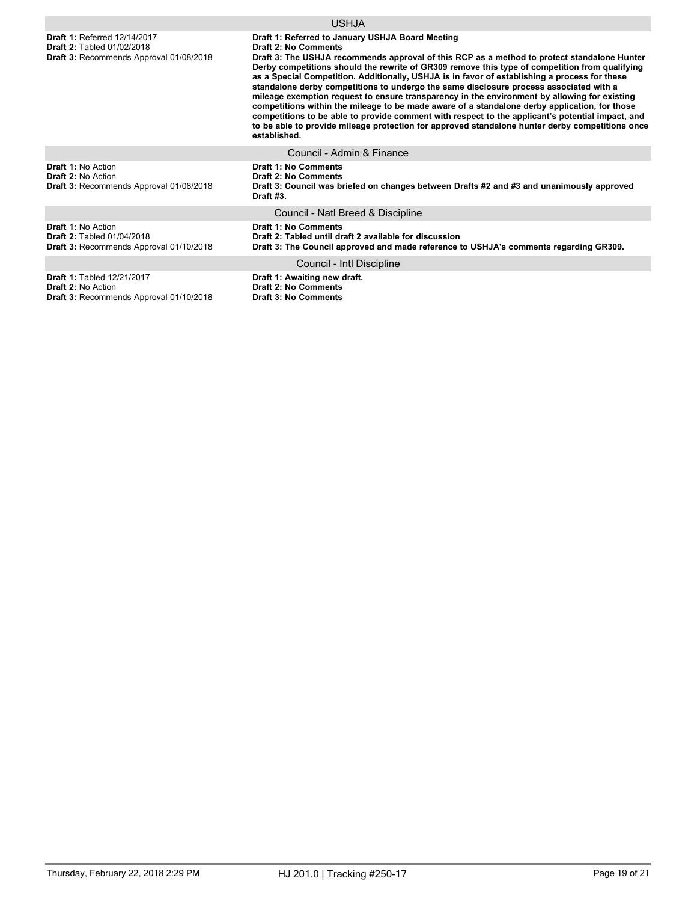**Draft 1:** Referred 12/14/2017 **Draft 2:** Tabled 01/02/2018 **Draft 3:** Recommends Approval 01/08/2018

## USHJA

**Draft 1: Referred to January USHJA Board Meeting**

**Draft 2: No Comments**

**Draft 3: The USHJA recommends approval of this RCP as a method to protect standalone Hunter Derby competitions should the rewrite of GR309 remove this type of competition from qualifying as a Special Competition. Additionally, USHJA is in favor of establishing a process for these standalone derby competitions to undergo the same disclosure process associated with a mileage exemption request to ensure transparency in the environment by allowing for existing competitions within the mileage to be made aware of a standalone derby application, for those competitions to be able to provide comment with respect to the applicant's potential impact, and to be able to provide mileage protection for approved standalone hunter derby competitions once established.**

#### Council - Admin & Finance

Council - Natl Breed & Discipline

**Draft 1:** No Action **Draft 2:** No Action **Draft 3:** Recommends Approval 01/08/2018 **Draft 1: No Comments Draft 2: No Comments**

**Draft 3: Council was briefed on changes between Drafts #2 and #3 and unanimously approved Draft #3.**

**Draft 1:** No Action **Draft 2:** Tabled 01/04/2018 **Draft 3:** Recommends Approval 01/10/2018 **Draft 1: No Comments Draft 2: Tabled until draft 2 available for discussion Draft 3: The Council approved and made reference to USHJA's comments regarding GR309.**

**Draft 1:** Tabled 12/21/2017

**Draft 2:** No Action

**Draft 3:** Recommends Approval 01/10/2018

Council - Intl Discipline

**Draft 1: Awaiting new draft. Draft 2: No Comments**

**Draft 3: No Comments**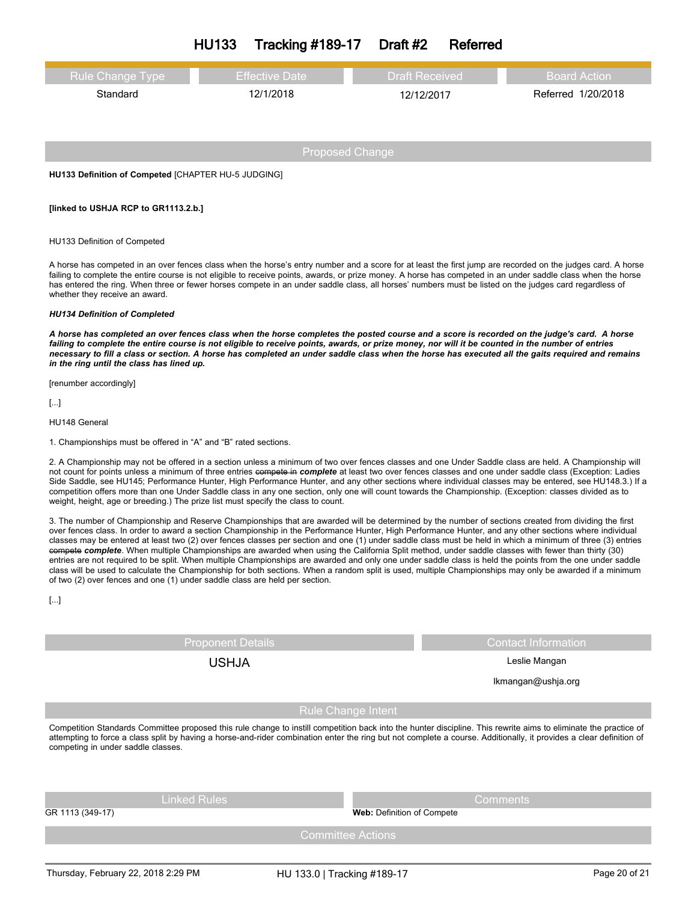| <b>HU133</b><br>Tracking #189-17<br>Draft #2 | Referred |
|----------------------------------------------|----------|
|----------------------------------------------|----------|

| <b>Rule Change Type</b> | <b>Effective Date</b> | <b>Draft Received</b> | Board Action       |
|-------------------------|-----------------------|-----------------------|--------------------|
| Standard                | 12/1/2018             | 12/12/2017            | Referred 1/20/2018 |
|                         |                       |                       |                    |

**HU133 Definition of Competed** [CHAPTER HU-5 JUDGING]

#### **[linked to USHJA RCP to GR1113.2.b.]**

#### HU133 Definition of Competed

A horse has competed in an over fences class when the horse's entry number and a score for at least the first jump are recorded on the judges card. A horse failing to complete the entire course is not eligible to receive points, awards, or prize money. A horse has competed in an under saddle class when the horse has entered the ring. When three or fewer horses compete in an under saddle class, all horses' numbers must be listed on the judges card regardless of whether they receive an award.

#### *HU134 Definition of Completed*

A horse has completed an over fences class when the horse completes the posted course and a score is recorded on the judge's card. A horse failing to complete the entire course is not eligible to receive points, awards, or prize money, nor will it be counted in the number of entries necessary to fill a class or section. A horse has completed an under saddle class when the horse has executed all the gaits required and remains *in the ring until the class has lined up.* 

[renumber accordingly]

[...]

HU148 General

1. Championships must be offered in "A" and "B" rated sections.

2. A Championship may not be offered in a section unless a minimum of two over fences classes and one Under Saddle class are held. A Championship will not count for points unless a minimum of three entries compete in *complete* at least two over fences classes and one under saddle class (Exception: Ladies Side Saddle, see HU145; Performance Hunter, High Performance Hunter, and any other sections where individual classes may be entered, see HU148.3.) If a competition offers more than one Under Saddle class in any one section, only one will count towards the Championship. (Exception: classes divided as to weight, height, age or breeding.) The prize list must specify the class to count.

3. The number of Championship and Reserve Championships that are awarded will be determined by the number of sections created from dividing the first over fences class. In order to award a section Championship in the Performance Hunter, High Performance Hunter, and any other sections where individual classes may be entered at least two (2) over fences classes per section and one (1) under saddle class must be held in which a minimum of three (3) entries compete *complete*. When multiple Championships are awarded when using the California Split method, under saddle classes with fewer than thirty (30) entries are not required to be split. When multiple Championships are awarded and only one under saddle class is held the points from the one under saddle class will be used to calculate the Championship for both sections. When a random split is used, multiple Championships may only be awarded if a minimum of two (2) over fences and one (1) under saddle class are held per section.

[...]

Proponent Details **Contact Information** 

USHJA Leslie Mangan

lkmangan@ushja.org

## Rule Change Intent

Competition Standards Committee proposed this rule change to instill competition back into the hunter discipline. This rewrite aims to eliminate the practice of attempting to force a class split by having a horse-and-rider combination enter the ring but not complete a course. Additionally, it provides a clear definition of competing in under saddle classes.

| Linked Rules     | <b>Comments</b>                   |
|------------------|-----------------------------------|
| GR 1113 (349-17) | <b>Web:</b> Definition of Compete |
|                  | Committee Actions                 |